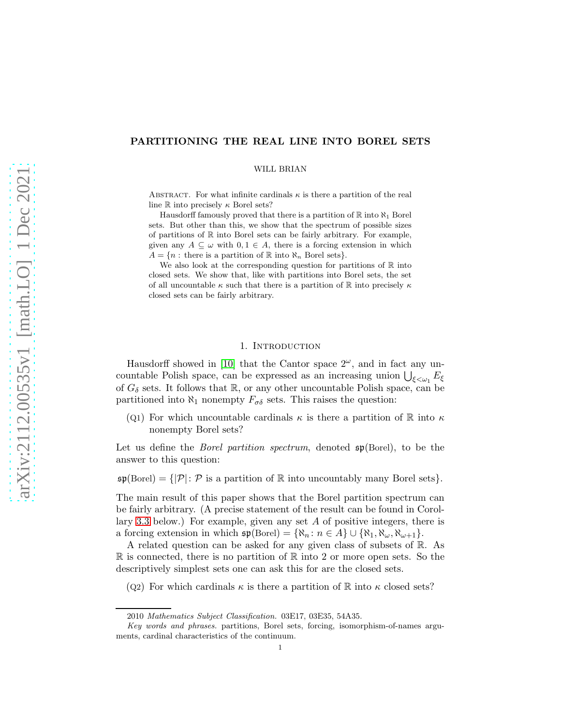# PARTITIONING THE REAL LINE INTO BOREL SETS

WILL BRIAN

ABSTRACT. For what infinite cardinals  $\kappa$  is there a partition of the real line R into precisely  $\kappa$  Borel sets?

Hausdorff famously proved that there is a partition of  $\mathbb R$  into  $\aleph_1$  Borel sets. But other than this, we show that the spectrum of possible sizes of partitions of R into Borel sets can be fairly arbitrary. For example, given any  $A \subseteq \omega$  with  $0, 1 \in A$ , there is a forcing extension in which  $A = \{n : \text{there is a partition of } \mathbb{R} \text{ into } \aleph_n \text{ Borel sets}\}.$ 

We also look at the corresponding question for partitions of  $\mathbb R$  into closed sets. We show that, like with partitions into Borel sets, the set of all uncountable  $\kappa$  such that there is a partition of  $\mathbb R$  into precisely  $\kappa$ closed sets can be fairly arbitrary.

## 1. INTRODUCTION

Hausdorff showed in [\[10\]](#page-20-0) that the Cantor space  $2^{\omega}$ , and in fact any uncountable Polish space, can be expressed as an increasing union  $\bigcup_{\xi<\omega_1}E_\xi$ of  $G_{\delta}$  sets. It follows that R, or any other uncountable Polish space, can be partitioned into  $\aleph_1$  nonempty  $F_{\sigma\delta}$  sets. This raises the question:

(Q1) For which uncountable cardinals  $\kappa$  is there a partition of R into  $\kappa$ nonempty Borel sets?

Let us define the *Borel partition spectrum*, denoted sp(Borel), to be the answer to this question:

 $\mathfrak{sp}(\text{Borel}) = \{|\mathcal{P}|: \mathcal{P} \text{ is a partition of } \mathbb{R} \text{ into uncountably many Borel sets}\}.$ 

The main result of this paper shows that the Borel partition spectrum can be fairly arbitrary. (A precise statement of the result can be found in Corol-lary [3.3](#page-8-0) below.) For example, given any set  $A$  of positive integers, there is a forcing extension in which  $\mathfrak{sp}(\text{Borel}) = {\aleph_n : n \in A} \cup {\aleph_1, \aleph_{\omega}, \aleph_{\omega+1}}.$ 

A related question can be asked for any given class of subsets of R. As  $\mathbb R$  is connected, there is no partition of  $\mathbb R$  into 2 or more open sets. So the descriptively simplest sets one can ask this for are the closed sets.

(Q2) For which cardinals  $\kappa$  is there a partition of  $\mathbb R$  into  $\kappa$  closed sets?

<sup>2010</sup> *Mathematics Subject Classification.* 03E17, 03E35, 54A35.

*Key words and phrases.* partitions, Borel sets, forcing, isomorphism-of-names arguments, cardinal characteristics of the continuum.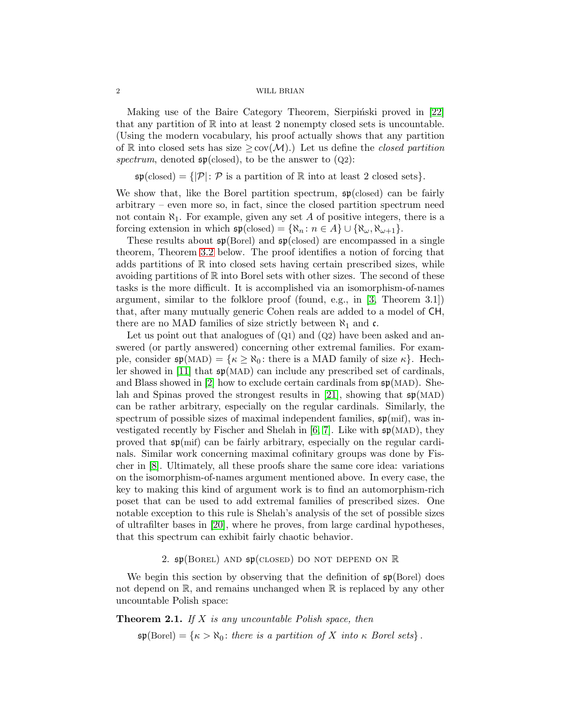Making use of the Baire Category Theorem, Sierpinski proved in [\[22\]](#page-21-0) that any partition of  $\mathbb R$  into at least 2 nonempty closed sets is uncountable. (Using the modern vocabulary, his proof actually shows that any partition of R into closed sets has size  $\geq$  cov( $\mathcal{M}$ ).) Let us define the *closed partition* spectrum, denoted  $\mathfrak{sp}(\text{closed})$ , to be the answer to  $(Q2)$ :

 $\mathfrak{sp}(\text{closed}) = \{|\mathcal{P}|: \mathcal{P} \text{ is a partition of } \mathbb{R} \text{ into at least 2 closed sets}\}.$ 

We show that, like the Borel partition spectrum,  $\mathfrak{sp}(closed)$  can be fairly arbitrary – even more so, in fact, since the closed partition spectrum need not contain  $\aleph_1$ . For example, given any set A of positive integers, there is a forcing extension in which  $\mathfrak{sp}(\text{closed}) = {\aleph_n : n \in A} \cup {\aleph_{\omega}, \aleph_{\omega+1}}.$ 

These results about  $\mathfrak{sp}(\text{Borel})$  and  $\mathfrak{sp}(\text{closed})$  are encompassed in a single theorem, Theorem [3.2](#page-8-1) below. The proof identifies a notion of forcing that adds partitions of  $\mathbb R$  into closed sets having certain prescribed sizes, while avoiding partitions of  $\mathbb R$  into Borel sets with other sizes. The second of these tasks is the more difficult. It is accomplished via an isomorphism-of-names argument, similar to the folklore proof (found, e.g., in [\[3,](#page-20-1) Theorem 3.1]) that, after many mutually generic Cohen reals are added to a model of CH, there are no MAD families of size strictly between  $\aleph_1$  and c.

Let us point out that analogues of  $(Q_1)$  and  $(Q_2)$  have been asked and answered (or partly answered) concerning other extremal families. For example, consider  $\mathfrak{sp}(MAD) = \{ \kappa \geq \aleph_0 : \text{there is a MAD family of size } \kappa \}.$  Hech-ler showed in [\[11\]](#page-20-2) that  $\mathfrak{sp}(MAD)$  can include any prescribed set of cardinals, and Blass showed in [\[2\]](#page-20-3) how to exclude certain cardinals from  $\mathfrak{sp}(MAD)$ . She-lah and Spinas proved the strongest results in [\[21\]](#page-21-1), showing that  $\mathfrak{sp}(MAD)$ can be rather arbitrary, especially on the regular cardinals. Similarly, the spectrum of possible sizes of maximal independent families,  $\mathfrak{sp}(mif)$ , was investigated recently by Fischer and Shelah in  $[6, 7]$  $[6, 7]$ . Like with  $\mathfrak{sp}(MAD)$ , they proved that  $\mathfrak{sp}(mif)$  can be fairly arbitrary, especially on the regular cardinals. Similar work concerning maximal cofinitary groups was done by Fischer in [\[8\]](#page-20-6). Ultimately, all these proofs share the same core idea: variations on the isomorphism-of-names argument mentioned above. In every case, the key to making this kind of argument work is to find an automorphism-rich poset that can be used to add extremal families of prescribed sizes. One notable exception to this rule is Shelah's analysis of the set of possible sizes of ultrafilter bases in [\[20\]](#page-21-2), where he proves, from large cardinal hypotheses, that this spectrum can exhibit fairly chaotic behavior.

## 2.  $\mathfrak{sp}(\text{Borel})$  AND  $\mathfrak{sp}(\text{CLOSED})$  DO NOT DEPEND ON  $\mathbb R$

We begin this section by observing that the definition of  $\mathfrak{sp}(\text{Borel})$  does not depend on  $\mathbb{R}$ , and remains unchanged when  $\mathbb{R}$  is replaced by any other uncountable Polish space:

Theorem 2.1. *If* X *is any uncountable Polish space, then*

 $\mathfrak{sp}(\text{Borel}) = \{ \kappa > \aleph_0 : \text{there is a partition of } X \text{ into } \kappa \text{ Borel sets} \}.$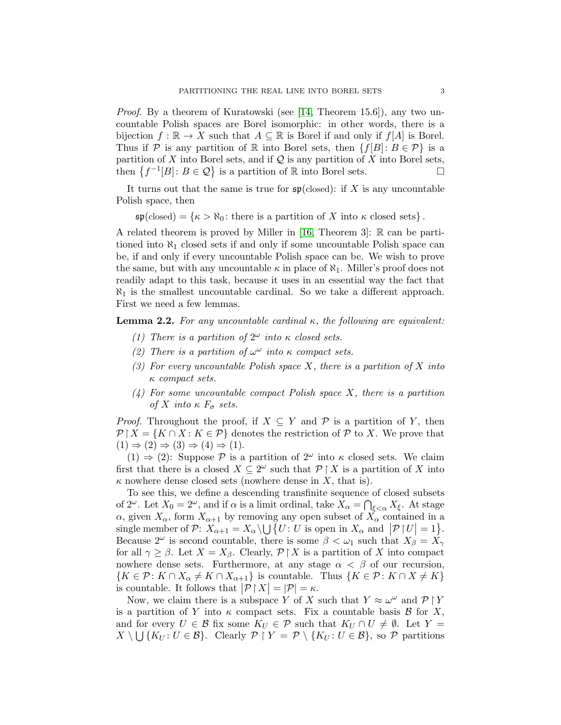*Proof.* By a theorem of Kuratowski (see [\[14,](#page-20-7) Theorem 15.6]), any two uncountable Polish spaces are Borel isomorphic: in other words, there is a bijection  $f : \mathbb{R} \to X$  such that  $A \subseteq \mathbb{R}$  is Borel if and only if  $f[A]$  is Borel. Thus if P is any partition of R into Borel sets, then  $\{f[B]: B \in \mathcal{P}\}\$ is a partition of X into Borel sets, and if  $Q$  is any partition of X into Borel sets, then  $\{f^{-1}[B]: B \in \mathcal{Q}\}$  is a partition of R into Borel sets.

It turns out that the same is true for  $\mathfrak{sp}(\text{closed})$ : if X is any uncountable Polish space, then

 $\mathfrak{sp}(\text{closed}) = \{ \kappa > \aleph_0 : \text{there is a partition of } X \text{ into } \kappa \text{ closed sets} \}.$ 

A related theorem is proved by Miller in [\[16,](#page-20-8) Theorem 3]: R can be partitioned into  $\aleph_1$  closed sets if and only if some uncountable Polish space can be, if and only if every uncountable Polish space can be. We wish to prove the same, but with any uncountable  $\kappa$  in place of  $\aleph_1$ . Miller's proof does not readily adapt to this task, because it uses in an essential way the fact that  $\aleph_1$  is the smallest uncountable cardinal. So we take a different approach. First we need a few lemmas.

<span id="page-2-0"></span>Lemma 2.2. *For any uncountable cardinal* κ*, the following are equivalent:*

- *(1) There is a partition of*  $2^{\omega}$  *into*  $\kappa$  *closed sets.*
- *(2)* There is a partition of  $\omega^{\omega}$  into  $\kappa$  compact sets.
- *(3) For every uncountable Polish space* X*, there is a partition of* X *into* κ *compact sets.*
- *(4) For some uncountable compact Polish space* X*, there is a partition of* X *into*  $\kappa$   $F_{\sigma}$  *sets.*

*Proof.* Throughout the proof, if  $X \subseteq Y$  and  $P$  is a partition of Y, then  $\mathcal{P} \upharpoonright X = \{K \cap X : K \in \mathcal{P}\}\$ denotes the restriction of  $\mathcal{P}$  to X. We prove that  $(1) \Rightarrow (2) \Rightarrow (3) \Rightarrow (4) \Rightarrow (1)$ .

 $(1) \Rightarrow (2)$ : Suppose P is a partition of  $2^{\omega}$  into  $\kappa$  closed sets. We claim first that there is a closed  $X \subseteq 2^{\omega}$  such that  $\mathcal{P} \restriction X$  is a partition of X into  $\kappa$  nowhere dense closed sets (nowhere dense in X, that is).

To see this, we define a descending transfinite sequence of closed subsets of 2<sup>ω</sup>. Let  $X_0 = 2^{\omega}$ , and if  $\alpha$  is a limit ordinal, take  $X_{\alpha} = \bigcap_{\xi < \alpha} X_{\xi}$ . At stage  $\alpha$ , given  $X_{\alpha}$ , form  $X_{\alpha+1}$  by removing any open subset of  $\overline{X}_{\alpha}$  contained in a single member of P:  $X_{\alpha+1} = X_{\alpha} \setminus \bigcup \{U : U \text{ is open in } X_{\alpha} \text{ and } |{\mathcal{P}}| |U| = 1\}$ . Because  $2^{\omega}$  is second countable, there is some  $\beta < \omega_1$  such that  $X_{\beta} = X_{\gamma}$ for all  $\gamma \geq \beta$ . Let  $X = X_{\beta}$ . Clearly,  $\mathcal{P} \upharpoonright X$  is a partition of X into compact nowhere dense sets. Furthermore, at any stage  $\alpha < \beta$  of our recursion,  $\{K \in \mathcal{P} : K \cap X_\alpha \neq K \cap X_{\alpha+1}\}$  is countable. Thus  $\{K \in \mathcal{P} : K \cap X \neq K\}$ is countable. It follows that  $|\mathcal{P}| |X| = |\mathcal{P}| = \kappa$ .

Now, we claim there is a subspace Y of X such that  $Y \approx \omega^{\omega}$  and  $\mathcal{P} \restriction Y$ is a partition of Y into  $\kappa$  compact sets. Fix a countable basis  $\beta$  for X, and for every  $U \in \mathcal{B}$  fix some  $K_U \in \mathcal{P}$  such that  $K_U \cap U \neq \emptyset$ . Let  $Y =$  $X \setminus \bigcup \{K_U : U \in \mathcal{B}\}.$  Clearly  $\mathcal{P} \restriction Y = \mathcal{P} \setminus \{K_U : U \in \mathcal{B}\},$  so  $\mathcal{P}$  partitions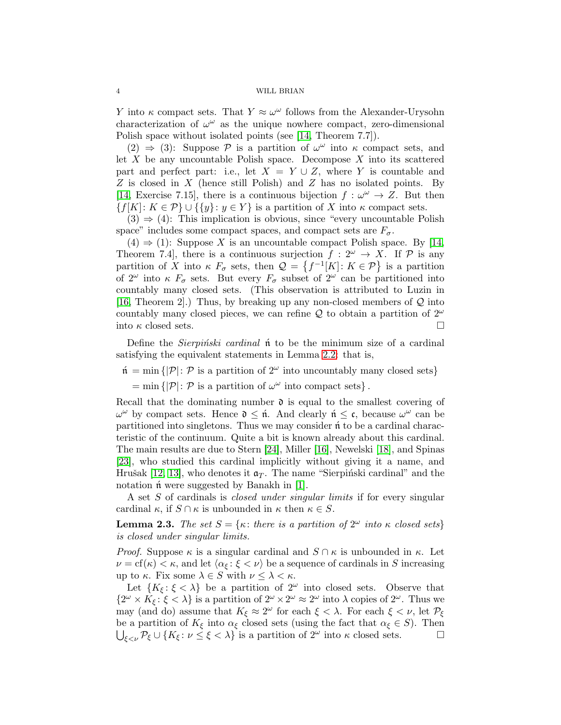Y into  $\kappa$  compact sets. That  $Y \approx \omega^{\omega}$  follows from the Alexander-Urysohn characterization of  $\omega^{\omega}$  as the unique nowhere compact, zero-dimensional Polish space without isolated points (see [\[14,](#page-20-7) Theorem 7.7]).

(2)  $\Rightarrow$  (3): Suppose P is a partition of  $\omega^{\omega}$  into  $\kappa$  compact sets, and let  $X$  be any uncountable Polish space. Decompose  $X$  into its scattered part and perfect part: i.e., let  $X = Y \cup Z$ , where Y is countable and Z is closed in X (hence still Polish) and Z has no isolated points. By [\[14,](#page-20-7) Exercise 7.15], there is a continuous bijection  $f : \omega^{\omega} \to Z$ . But then  ${f[K]: K \in \mathcal{P}} \cup { \{y\}: y \in Y }$  is a partition of X into  $\kappa$  compact sets.

 $(3) \Rightarrow (4)$ : This implication is obvious, since "every uncountable Polish" space" includes some compact spaces, and compact sets are  $F_{\sigma}$ .

 $(4) \Rightarrow (1)$ : Suppose X is an uncountable compact Polish space. By [\[14,](#page-20-7) Theorem 7.4, there is a continuous surjection  $f: 2^{\omega} \to X$ . If P is any partition of X into  $\kappa$   $F_{\sigma}$  sets, then  $\mathcal{Q} = \{f^{-1}[K]: K \in \mathcal{P}\}\$ is a partition of  $2^{\omega}$  into  $\kappa$   $F_{\sigma}$  sets. But every  $F_{\sigma}$  subset of  $2^{\omega}$  can be partitioned into countably many closed sets. (This observation is attributed to Luzin in [\[16,](#page-20-8) Theorem 2].) Thus, by breaking up any non-closed members of  $\mathcal Q$  into countably many closed pieces, we can refine Q to obtain a partition of  $2^{\omega}$ into  $\kappa$  closed sets.

Define the *Sierpinski cardinal* not be the minimum size of a cardinal satisfying the equivalent statements in Lemma [2.2:](#page-2-0) that is,

 $\mathfrak{n} = \min\{|\mathcal{P}|: \mathcal{P} \text{ is a partition of } 2^{\omega} \text{ into uncountably many closed sets}\}\$ 

= min { $|\mathcal{P}|$ :  $\mathcal P$  is a partition of  $\omega^{\omega}$  into compact sets}.

Recall that the dominating number  $\mathfrak d$  is equal to the smallest covering of  $\omega^{\omega}$  by compact sets. Hence  $\mathfrak{d} \leq \mathfrak{n}$ . And clearly  $\mathfrak{n} \leq \mathfrak{c}$ , because  $\omega^{\omega}$  can be partitioned into singletons. Thus we may consider  $\acute{\textbf{n}}$  to be a cardinal characteristic of the continuum. Quite a bit is known already about this cardinal. The main results are due to Stern [\[24\]](#page-21-3), Miller [\[16\]](#page-20-8), Newelski [\[18\]](#page-20-9), and Spinas [\[23\]](#page-21-4), who studied this cardinal implicitly without giving it a name, and Hrušak [\[12,](#page-20-10) [13\]](#page-20-11), who denotes it  $\mathfrak{a}_T$ . The name "Sierpinski cardinal" and the notation  $\hat{\mathfrak{n}}$  were suggested by Banakh in [\[1\]](#page-20-12).

A set S of cardinals is *closed under singular limits* if for every singular cardinal  $\kappa$ , if  $S \cap \kappa$  is unbounded in  $\kappa$  then  $\kappa \in S$ .

<span id="page-3-0"></span>**Lemma 2.3.** *The set*  $S = \{\kappa: \text{ there is a partition of } 2^{\omega} \text{ into } \kappa \text{ closed sets}\}\$ *is closed under singular limits.*

*Proof.* Suppose  $\kappa$  is a singular cardinal and  $S \cap \kappa$  is unbounded in  $\kappa$ . Let  $\nu = \text{cf}(\kappa) < \kappa$ , and let  $\langle \alpha_{\xi} : \xi < \nu \rangle$  be a sequence of cardinals in S increasing up to  $\kappa$ . Fix some  $\lambda \in S$  with  $\nu \leq \lambda < \kappa$ .

Let  $\{K_{\xi} : \xi < \lambda\}$  be a partition of  $2^{\omega}$  into closed sets. Observe that  $\{2^{\omega} \times K_{\xi} : \xi < \lambda\}$  is a partition of  $2^{\omega} \times 2^{\omega} \approx 2^{\omega}$  into  $\lambda$  copies of  $2^{\omega}$ . Thus we may (and do) assume that  $K_{\xi} \approx 2^{\omega}$  for each  $\xi < \lambda$ . For each  $\xi < \nu$ , let  $\mathcal{P}_{\xi}$ be a partition of  $K_{\xi}$  into  $\alpha_{\xi}$  closed sets (using the fact that  $\alpha_{\xi} \in S$ ). Then  $\bigcup_{\xi \leq \nu} \mathcal{P}_{\xi} \cup \{K_{\xi} : \nu \leq \xi < \lambda\}$  is a partition of  $2^{\omega}$  into  $\kappa$  closed sets.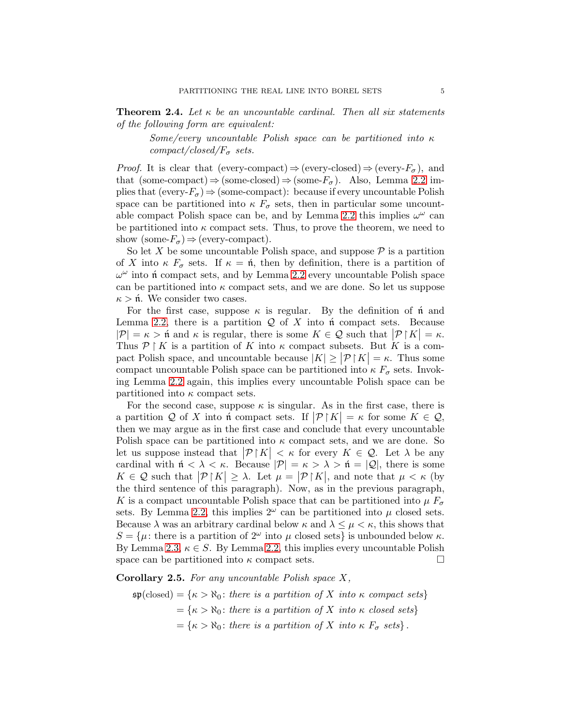<span id="page-4-1"></span>Theorem 2.4. *Let* κ *be an uncountable cardinal. Then all six statements of the following form are equivalent:*

*Some/every uncountable Polish space can be partitioned into* κ  $compact/closed/F_{\sigma}$  *sets.* 

*Proof.* It is clear that (every-compact)  $\Rightarrow$  (every-closed)  $\Rightarrow$  (every- $F_{\sigma}$ ), and that (some-compact)⇒(some-closed)⇒(some- $F_{\sigma}$ ). Also, Lemma [2.2](#page-2-0) implies that (every- $F_{\sigma}$ )  $\Rightarrow$  (some-compact): because if every uncountable Polish space can be partitioned into  $\kappa F_{\sigma}$  sets, then in particular some uncount-able compact Polish space can be, and by Lemma [2.2](#page-2-0) this implies  $\omega^{\omega}$  can be partitioned into  $\kappa$  compact sets. Thus, to prove the theorem, we need to show (some- $F_{\sigma}$ )  $\Rightarrow$  (every-compact).

So let X be some uncountable Polish space, and suppose  $P$  is a partition of X into  $\kappa F_{\sigma}$  sets. If  $\kappa = \hat{\mathfrak{n}}$ , then by definition, there is a partition of  $\omega^{\omega}$  into not compact sets, and by Lemma [2.2](#page-2-0) every uncountable Polish space can be partitioned into  $\kappa$  compact sets, and we are done. So let us suppose  $\kappa > \hat{\mu}$ . We consider two cases.

For the first case, suppose  $\kappa$  is regular. By the definition of  $\hat{\mathfrak{n}}$  and Lemma [2.2,](#page-2-0) there is a partition  $Q$  of X into not compact sets. Because  $|\mathcal{P}| = \kappa > \hat{\mathfrak{n}}$  and  $\kappa$  is regular, there is some  $K \in \mathcal{Q}$  such that  $|\mathcal{P}|K| = \kappa$ . Thus  $\mathcal{P} \restriction K$  is a partition of K into  $\kappa$  compact subsets. But K is a compact Polish space, and uncountable because  $|K| \geq |\mathcal{P}| |K| = \kappa$ . Thus some compact uncountable Polish space can be partitioned into  $\kappa F_{\sigma}$  sets. Invoking Lemma [2.2](#page-2-0) again, this implies every uncountable Polish space can be partitioned into  $\kappa$  compact sets.

For the second case, suppose  $\kappa$  is singular. As in the first case, there is a partition Q of X into  $\mathfrak{h}$  compact sets. If  $|\mathcal{P}|K| = \kappa$  for some  $K \in \mathcal{Q}$ , then we may argue as in the first case and conclude that every uncountable Polish space can be partitioned into  $\kappa$  compact sets, and we are done. So let us suppose instead that  $|\mathcal{P}| K| < \kappa$  for every  $K \in \mathcal{Q}$ . Let  $\lambda$  be any cardinal with  $\mathfrak{n} < \lambda < \kappa$ . Because  $|\mathcal{P}| = \kappa > \lambda > \mathfrak{n} = |\mathcal{Q}|$ , there is some  $K \in \mathcal{Q}$  such that  $|\mathcal{P} \upharpoonright K| \geq \lambda$ . Let  $\mu = |\mathcal{P} \upharpoonright K|$ , and note that  $\mu < \kappa$  (by the third sentence of this paragraph). Now, as in the previous paragraph, K is a compact uncountable Polish space that can be partitioned into  $\mu F_{\sigma}$ sets. By Lemma [2.2,](#page-2-0) this implies  $2^{\omega}$  can be partitioned into  $\mu$  closed sets. Because  $\lambda$  was an arbitrary cardinal below  $\kappa$  and  $\lambda \leq \mu < \kappa$ , this shows that  $S = {\mu : \text{there is a partition of } 2^{\omega} \text{ into } \mu \text{ closed sets}}$  is unbounded below  $\kappa$ . By Lemma [2.3,](#page-3-0)  $\kappa \in S$ . By Lemma [2.2,](#page-2-0) this implies every uncountable Polish space can be partitioned into  $\kappa$  compact sets.

<span id="page-4-0"></span>Corollary 2.5. *For any uncountable Polish space* X*,*

 $\mathfrak{sp}(\text{closed}) = \{\kappa > \aleph_0 : \text{there is a partition of } X \text{ into } \kappa \text{ compact sets}\}\$  $= {\kappa > \aleph_0 : there is a partition of X into \kappa closed sets}$  $= {\kappa > \aleph_0 : there is a partition of X into \kappa F_\sigma sets}.$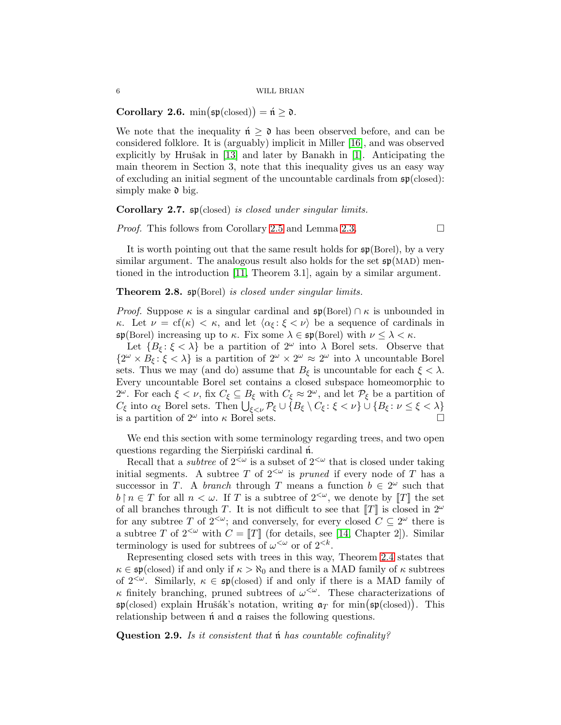<span id="page-5-0"></span>Corollary 2.6.  $\min(\mathfrak{sp}(\text{closed})) = \mathfrak{n} \geq \mathfrak{d}$ .

We note that the inequality  $\mathfrak{n} \geq \mathfrak{d}$  has been observed before, and can be considered folklore. It is (arguably) implicit in Miller [\[16\]](#page-20-8), and was observed explicitly by Hrušak in  $[13]$  and later by Banakh in  $[1]$ . Anticipating the main theorem in Section 3, note that this inequality gives us an easy way of excluding an initial segment of the uncountable cardinals from  $\mathfrak{sp}(\text{closed})$ : simply make  $\mathfrak d$  big.

### Corollary 2.7. sp(closed) *is closed under singular limits.*

*Proof.* This follows from Corollary [2.5](#page-4-0) and Lemma [2.3.](#page-3-0) □

It is worth pointing out that the same result holds for sp(Borel), by a very similar argument. The analogous result also holds for the set  $\mathfrak{sp}(MAD)$  mentioned in the introduction [\[11,](#page-20-2) Theorem 3.1], again by a similar argument.

## Theorem 2.8. sp(Borel) *is closed under singular limits.*

*Proof.* Suppose  $\kappa$  is a singular cardinal and  $\mathfrak{sp}(\text{Borel}) \cap \kappa$  is unbounded in κ. Let  $\nu = cf(\kappa) < \kappa$ , and let  $\langle \alpha_{\xi} : \xi < \nu \rangle$  be a sequence of cardinals in  $\mathfrak{sp}(\text{Borel})$  increasing up to  $\kappa$ . Fix some  $\lambda \in \mathfrak{sp}(\text{Borel})$  with  $\nu \leq \lambda < \kappa$ .

Let  $\{B_{\xi} : \xi < \lambda\}$  be a partition of  $2^{\omega}$  into  $\lambda$  Borel sets. Observe that  $\{2^{\omega}\times B_{\xi}:\xi<\lambda\}$  is a partition of  $2^{\omega}\times 2^{\omega}\approx 2^{\omega}$  into  $\lambda$  uncountable Borel sets. Thus we may (and do) assume that  $B_{\xi}$  is uncountable for each  $\xi < \lambda$ . Every uncountable Borel set contains a closed subspace homeomorphic to 2<sup>ω</sup>. For each  $\xi < \nu$ , fix  $C_{\xi} \subseteq B_{\xi}$  with  $C_{\xi} \approx 2^{\omega}$ , and let  $\mathcal{P}_{\xi}$  be a partition of  $C_{\xi}$  into  $\alpha_{\xi}$  Borel sets. Then  $\bigcup_{\xi \leq \nu} \mathcal{P}_{\xi} \cup \{B_{\xi} \setminus C_{\xi} : \xi < \nu\} \cup \{B_{\xi} : \nu \leq \xi < \lambda\}$ is a partition of  $2^{\omega}$  into  $\kappa$  Borel sets.

We end this section with some terminology regarding trees, and two open questions regarding the Sierpinski cardinal no.

Recall that a *subtree* of  $2^{\langle \omega \rangle}$  is a subset of  $2^{\langle \omega \rangle}$  that is closed under taking initial segments. A subtree T of  $2^{\lt \omega}$  is *pruned* if every node of T has a successor in T. A *branch* through T means a function  $b \in 2^{\omega}$  such that  $b \nvert n \in T$  for all  $n < \omega$ . If T is a subtree of  $2<sup>{\omega}</sup>$ , we denote by [T] the set of all branches through T. It is not difficult to see that  $||T||$  is closed in  $2^{\omega}$ for any subtree T of  $2<sup>{\omega}</sup>$ ; and conversely, for every closed  $C \subseteq 2^{\omega}$  there is a subtree T of  $2^{<\omega}$  with  $C = \|T\|$  (for details, see [\[14,](#page-20-7) Chapter 2]). Similar terminology is used for subtrees of  $\omega^{\langle \omega \rangle}$  or of  $2^{\langle k \rangle}$ .

Representing closed sets with trees in this way, Theorem [2.4](#page-4-1) states that  $\kappa \in \mathfrak{sp}(\text{closed})$  if and only if  $\kappa > \aleph_0$  and there is a MAD family of  $\kappa$  subtrees of  $2^{<\omega}$ . Similarly,  $\kappa \in \mathfrak{sp}(\text{closed})$  if and only if there is a MAD family of  $\kappa$  finitely branching, pruned subtrees of  $\omega^{\langle \omega \rangle}$ . These characterizations of  $\mathfrak{sp}(\text{closed})$  explain Hrušák's notation, writing  $\mathfrak{a}_T$  for  $\min(\mathfrak{sp}(\text{closed}))$ . This relationship between  $\hat{\mathfrak{n}}$  and  $\mathfrak{a}$  raises the following questions.

Question 2.9. *Is it consistent that*  $\acute{n}$  *has countable cofinality?*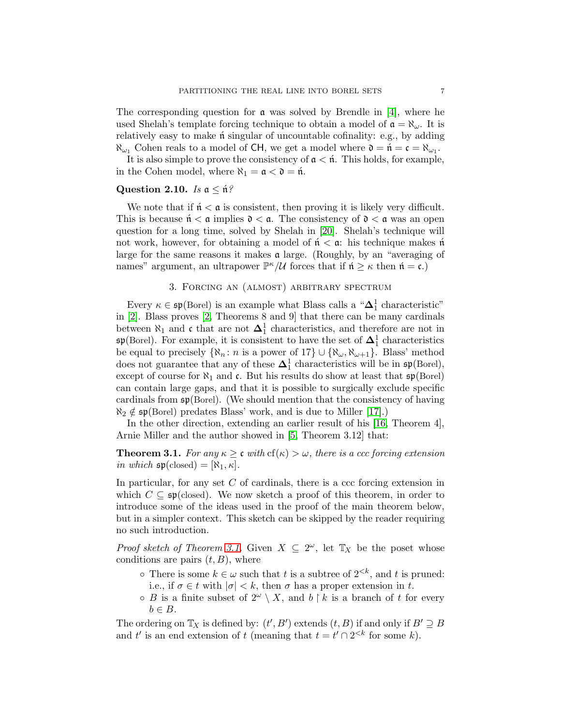The corresponding question for  $\alpha$  was solved by Brendle in [\[4\]](#page-20-13), where he used Shelah's template forcing technique to obtain a model of  $\mathfrak{a} = \aleph_{\omega}$ . It is relatively easy to make  $\acute{\textbf{n}}$  singular of uncountable cofinality: e.g., by adding  $\aleph_{\omega_1}$  Cohen reals to a model of CH, we get a model where  $\mathfrak{d} = \mathfrak{n} = \mathfrak{c} = \aleph_{\omega_1}$ .

It is also simple to prove the consistency of  $a < \mathfrak{n}$ . This holds, for example, in the Cohen model, where  $\aleph_1 = \mathfrak{a} < \mathfrak{d} = \mathfrak{n}$ .

## Question 2.10. *Is*  $a \leq \hat{n}$ ?

We note that if  $n' < a$  is consistent, then proving it is likely very difficult. This is because  $\mathfrak{n} < \mathfrak{a}$  implies  $\mathfrak{d} < \mathfrak{a}$ . The consistency of  $\mathfrak{d} < \mathfrak{a}$  was an open question for a long time, solved by Shelah in [\[20\]](#page-21-2). Shelah's technique will not work, however, for obtaining a model of  $\mathfrak{n} < \mathfrak{a}$ : his technique makes  $\mathfrak{n}$ large for the same reasons it makes a large. (Roughly, by an "averaging of names" argument, an ultrapower  $\mathbb{P}^{\kappa}/\mathcal{U}$  forces that if  $\mathfrak{n} \geq \kappa$  then  $\mathfrak{n} = \mathfrak{c}$ .)

# 3. Forcing an (almost) arbitrary spectrum

Every  $\kappa \in \mathfrak{sp}(\text{Borel})$  is an example what Blass calls a " $\Delta_1^1$  characteristic" in [\[2\]](#page-20-3). Blass proves [\[2,](#page-20-3) Theorems 8 and 9] that there can be many cardinals between  $\aleph_1$  and c that are not  $\Delta_1^1$  characteristics, and therefore are not in  $\mathfrak{sp}(\text{Borel})$ . For example, it is consistent to have the set of  $\mathbf{\Delta}^1_1$  characteristics be equal to precisely  $\{\aleph_n : n \text{ is a power of } 17\} \cup \{\aleph_\omega, \aleph_{\omega+1}\}.$  Blass' method does not guarantee that any of these  $\Delta_1^1$  characteristics will be in  $\mathfrak{sp}(\text{Borel})$ , except of course for  $\aleph_1$  and c. But his results do show at least that  $\mathfrak{sp}(\text{Borel})$ can contain large gaps, and that it is possible to surgically exclude specific cardinals from  $\mathfrak{sp}(\mathrm{Borel})$ . (We should mention that the consistency of having  $\aleph_2 \notin \mathfrak{sp}(\text{Borel})$  predates Blass' work, and is due to Miller [\[17\]](#page-20-14).)

In the other direction, extending an earlier result of his [\[16,](#page-20-8) Theorem 4], Arnie Miller and the author showed in [\[5,](#page-20-15) Theorem 3.12] that:

<span id="page-6-0"></span>**Theorem 3.1.** *For any*  $\kappa \geq \mathfrak{c}$  *with*  $cf(\kappa) > \omega$ *, there is a ccc forcing extension in which*  $\mathfrak{sp}(\text{closed}) = [\aleph_1, \kappa]$ .

In particular, for any set  $C$  of cardinals, there is a ccc forcing extension in which  $C \subseteq \mathfrak{sp}(\text{closed})$ . We now sketch a proof of this theorem, in order to introduce some of the ideas used in the proof of the main theorem below, but in a simpler context. This sketch can be skipped by the reader requiring no such introduction.

*Proof sketch of Theorem [3.1.](#page-6-0)* Given  $X \subseteq 2^{\omega}$ , let  $\mathbb{T}_X$  be the poset whose conditions are pairs  $(t, B)$ , where

- $\circ$  There is some  $k \in \omega$  such that t is a subtree of  $2^{< k}$ , and t is pruned: i.e., if  $\sigma \in t$  with  $|\sigma| < k$ , then  $\sigma$  has a proper extension in t.
- $\circ$  B is a finite subset of  $2^{\omega} \setminus X$ , and  $b \restriction k$  is a branch of t for every  $b \in B$ .

The ordering on  $\mathbb{T}_X$  is defined by:  $(t', B')$  extends  $(t, B)$  if and only if  $B' \supseteq B$ and t' is an end extension of t (meaning that  $t = t' \cap 2^{< k}$  for some k).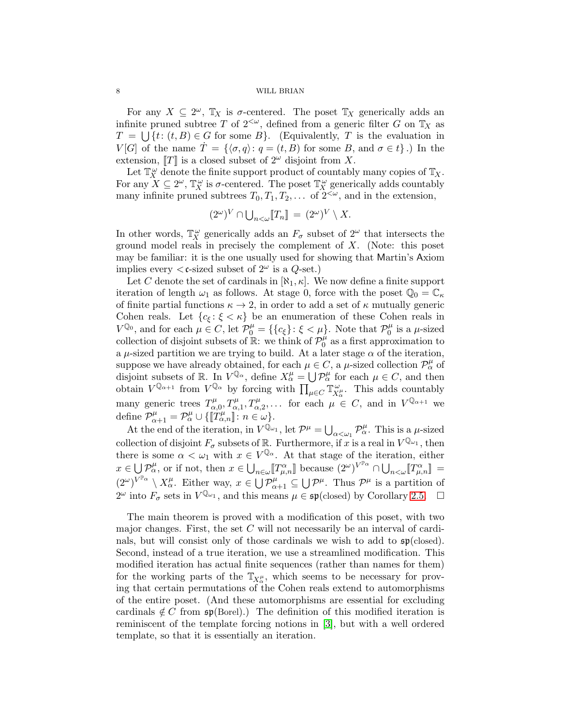For any  $X \subseteq 2^{\omega}$ ,  $\mathbb{T}_X$  is  $\sigma$ -centered. The poset  $\mathbb{T}_X$  generically adds an infinite pruned subtree T of  $2<sup>{\omega}</sup>$ , defined from a generic filter G on  $\mathbb{T}_X$  as  $T = \bigcup \{t : (t, B) \in G \text{ for some } B\}.$  (Equivalently, T is the evaluation in  $V[G]$  of the name  $\dot{T} = \{\langle \sigma, q \rangle : q = (t, B) \text{ for some } B, \text{ and } \sigma \in t\}.$  In the extension,  $T$  is a closed subset of  $2^{\omega}$  disjoint from X.

Let  $\mathbb{T}_X^{\omega}$  denote the finite support product of countably many copies of  $\mathbb{T}_X$ . For any  $X \subseteq 2^{\omega}$ ,  $\mathbb{T}_X^{\omega}$  is  $\sigma$ -centered. The poset  $\mathbb{T}_X^{\omega}$  generically adds countably many infinite pruned subtrees  $T_0, T_1, T_2, \ldots$  of  $2^{<\omega}$ , and in the extension,

$$
(2^{\omega})^V \cap \bigcup_{n<\omega} [T_n] = (2^{\omega})^V \setminus X.
$$

In other words,  $\mathbb{T}_X^{\omega}$  generically adds an  $F_{\sigma}$  subset of  $2^{\omega}$  that intersects the ground model reals in precisely the complement of X. (Note: this poset may be familiar: it is the one usually used for showing that Martin's Axiom implies every  $\langle \mathfrak{c}$ -sized subset of  $2^{\omega}$  is a  $Q$ -set.)

Let C denote the set of cardinals in  $[\aleph_1, \kappa]$ . We now define a finite support iteration of length  $\omega_1$  as follows. At stage 0, force with the poset  $\mathbb{Q}_0 = \mathbb{C}_{\kappa}$ of finite partial functions  $\kappa \to 2$ , in order to add a set of  $\kappa$  mutually generic Cohen reals. Let  ${c_{\xi} : \xi < \kappa}$  be an enumeration of these Cohen reals in  $V^{\mathbb{Q}_0}$ , and for each  $\mu \in C$ , let  $\mathcal{P}_0^{\mu} = \{\{c_{\xi}\} : \xi < \mu\}$ . Note that  $\mathcal{P}_0^{\mu}$  $\int_0^\mu$  is a  $\mu$ -sized collection of disjoint subsets of  $\mathbb{R}$ : we think of  $\mathcal{P}_0^{\mu}$  $\int_0^\mu$  as a first approximation to a  $\mu$ -sized partition we are trying to build. At a later stage  $\alpha$  of the iteration, suppose we have already obtained, for each  $\mu \in C$ , a  $\mu$ -sized collection  $\mathcal{P}_{\alpha}^{\mu}$  of disjoint subsets of R. In  $V^{\mathbb{Q}_{\alpha}}$ , define  $X^{\mu}_{\alpha} = \bigcup \mathcal{P}^{\mu}_{\alpha}$  for each  $\mu \in C$ , and then obtain  $V^{\mathbb{Q}_{\alpha+1}}$  from  $V^{\mathbb{Q}_{\alpha}}$  by forcing with  $\prod_{\mu \in C} \mathbb{T}_{X_{\mu}}^{\omega}$  $X^{\omega}_{\alpha}$ . This adds countably many generic trees  $T^{\mu}_{\alpha}$  $\alpha_{\alpha,0}^{\mu}, T_{\alpha,1}^{\mu}, T_{\alpha,2}^{\mu}, \ldots$  for each  $\mu \in C$ , and in  $V^{\mathbb{Q}_{\alpha+1}}$  we define  $\mathcal{P}_{\alpha+1}^{\mu} = \mathcal{P}_{\alpha}^{\mu} \cup \{[[T_{\alpha,n}^{\mu}]] : n \in \omega\}.$ 

At the end of the iteration, in  $V^{\mathbb{Q}_{\omega_1}}$ , let  $\mathcal{P}^{\mu} = \bigcup_{\alpha < \omega_1} \mathcal{P}^{\mu}_{\alpha}$ . This is a  $\mu$ -sized collection of disjoint  $F_{\sigma}$  subsets of  $\mathbb{R}$ . Furthermore, if x is a real in  $V^{\mathbb{Q}_{\omega_1}}$ , then there is some  $\alpha < \omega_1$  with  $x \in V^{\mathbb{Q}_\alpha}$ . At that stage of the iteration, either  $x \in \bigcup \mathcal{P}_{\alpha}^{\mu}$ , or if not, then  $x \in \bigcup_{n \in \omega} [T_{\mu,n}^{\alpha}]$  because  $(2^{\omega})^{V^{\mathbb{P}_{\alpha}}} \cap \bigcup_{n \leq \omega} [T_{\mu,n}^{\alpha}] =$  $(2^{\omega})^{V^{\mathbb{P}_{\alpha}}}\setminus X^{\mu}_{\alpha}$ . Either way,  $x\in \bigcup \mathcal{P}^{\mu}_{\alpha+1}\subseteq \bigcup \mathcal{P}^{\mu}$ . Thus  $\mathcal{P}^{\mu}$  is a partition of  $2^{\omega}$  into  $F_{\sigma}$  sets in  $V^{\mathbb{Q}_{\omega_1}}$ , and this means  $\mu \in \mathfrak{sp}(\text{closed})$  by Corollary [2.5.](#page-4-0)  $\Box$ 

The main theorem is proved with a modification of this poset, with two major changes. First, the set  $C$  will not necessarily be an interval of cardinals, but will consist only of those cardinals we wish to add to  $\mathfrak{sp}(\text{closed})$ . Second, instead of a true iteration, we use a streamlined modification. This modified iteration has actual finite sequences (rather than names for them) for the working parts of the  $\mathbb{T}_{X_\alpha^{\mu}}$ , which seems to be necessary for proving that certain permutations of the Cohen reals extend to automorphisms of the entire poset. (And these automorphisms are essential for excluding cardinals  $\notin C$  from  $\mathfrak{sp}(\text{Borel})$ . The definition of this modified iteration is reminiscent of the template forcing notions in [\[3\]](#page-20-1), but with a well ordered template, so that it is essentially an iteration.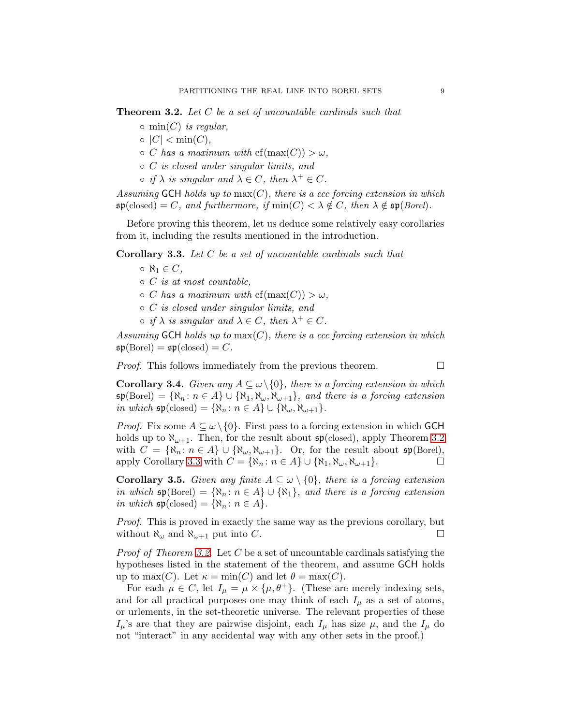<span id="page-8-1"></span>Theorem 3.2. *Let* C *be a set of uncountable cardinals such that*

- min(C) *is regular,*
- |C| < min(C)*,*
- $\circ$  *C* has a maximum with  $cf(max(C)) > \omega$ .
- C *is closed under singular limits, and*
- $\circ$  *if*  $\lambda$  *is singular and*  $\lambda \in C$ *, then*  $\lambda^+ \in C$ *.*

*Assuming* GCH *holds up to* max(C)*, there is a ccc forcing extension in which*  $\mathfrak{sp}(\text{closed}) = C$ *, and furthermore, if*  $\min(C) < \lambda \notin C$ *, then*  $\lambda \notin \mathfrak{sp}(\text{Borel})$ *.* 

Before proving this theorem, let us deduce some relatively easy corollaries from it, including the results mentioned in the introduction.

<span id="page-8-0"></span>Corollary 3.3. *Let* C *be a set of uncountable cardinals such that*

- $\circ$   $\aleph_1 \in C$ ,
- C *is at most countable,*
- $\circ$  *C* has a maximum with  $cf(max(C)) > \omega$ ,
- C *is closed under singular limits, and*
- $\circ$  *if*  $\lambda$  *is singular and*  $\lambda \in C$ *, then*  $\lambda^+ \in C$ *.*

*Assuming* GCH *holds up to* max(C)*, there is a ccc forcing extension in which*  $\mathfrak{sp}(\mathrm{Borel}) = \mathfrak{sp}(\mathrm{closed}) = C.$ 

*Proof.* This follows immediately from the previous theorem.

<span id="page-8-2"></span>**Corollary 3.4.** *Given any*  $A \subseteq \omega \setminus \{0\}$ *, there is a forcing extension in which*  $\mathfrak{sp}(\text{Borel}) = {\aleph_n : n \in A} \cup {\aleph_1, \aleph_\omega, \aleph_{\omega+1}}$ *, and there is a forcing extension in which*  $\mathfrak{sp}(\text{closed}) = {\aleph_n : n \in A} \cup {\aleph_{\omega}, \aleph_{\omega+1}}.$ 

*Proof.* Fix some  $A \subseteq \omega \setminus \{0\}$ . First pass to a forcing extension in which GCH holds up to  $\aleph_{\omega+1}$ . Then, for the result about  $\mathfrak{sp}(\text{closed})$ , apply Theorem [3.2](#page-8-1) with  $C = {\aleph_n : n \in A} \cup {\aleph_{\omega}, \aleph_{\omega+1}}$ . Or, for the result about  $\mathfrak{sp}(\text{Borel})$ , apply Corollary [3.3](#page-8-0) with  $C = {\aleph_n : n \in A} \cup {\aleph_1, \aleph_{\omega}, \aleph_{\omega+1}}$ .

<span id="page-8-3"></span>**Corollary 3.5.** *Given any finite*  $A \subseteq \omega \setminus \{0\}$ *, there is a forcing extension in which*  $\mathfrak{sp}(\text{Borel}) = {\aleph_n : n \in A} \cup {\aleph_1}, \text{ and there is a forcing extension}$ *in which*  $\mathfrak{sp}(\text{closed}) = \{ \aleph_n : n \in A \}.$ 

*Proof.* This is proved in exactly the same way as the previous corollary, but without  $\aleph_{\omega}$  and  $\aleph_{\omega+1}$  put into C.

*Proof of Theorem [3.2.](#page-8-1)* Let C be a set of uncountable cardinals satisfying the hypotheses listed in the statement of the theorem, and assume GCH holds up to max(C). Let  $\kappa = \min(C)$  and let  $\theta = \max(C)$ .

For each  $\mu \in C$ , let  $I_{\mu} = \mu \times {\{\mu, \theta^+\}}$ . (These are merely indexing sets, and for all practical purposes one may think of each  $I_{\mu}$  as a set of atoms, or urlements, in the set-theoretic universe. The relevant properties of these  $I_\mu$ 's are that they are pairwise disjoint, each  $I_\mu$  has size  $\mu$ , and the  $I_\mu$  do not "interact" in any accidental way with any other sets in the proof.)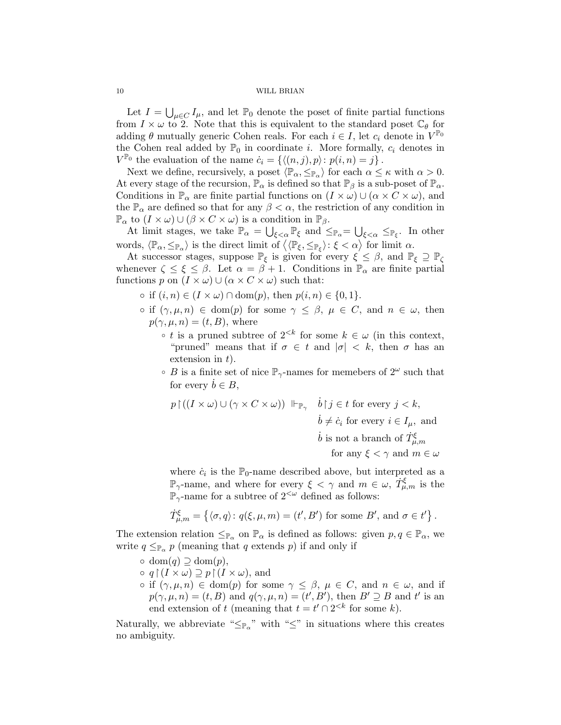Let  $I = \bigcup_{\mu \in C} I_{\mu}$ , and let  $\mathbb{P}_0$  denote the poset of finite partial functions from  $I \times \omega$  to 2. Note that this is equivalent to the standard poset  $\mathbb{C}_{\theta}$  for adding  $\theta$  mutually generic Cohen reals. For each  $i \in I$ , let  $c_i$  denote in  $V^{\mathbb{P}_0}$ the Cohen real added by  $\mathbb{P}_0$  in coordinate *i*. More formally,  $c_i$  denotes in  $V^{\mathbb{P}_0}$  the evaluation of the name  $\dot{c}_i = \{ \langle (n, j), p \rangle : p(i, n) = j \}$ .

Next we define, recursively, a poset  $\langle \mathbb{P}_{\alpha}, \leq_{\mathbb{P}_{\alpha}} \rangle$  for each  $\alpha \leq \kappa$  with  $\alpha > 0$ . At every stage of the recursion,  $\mathbb{P}_{\alpha}$  is defined so that  $\mathbb{P}_{\beta}$  is a sub-poset of  $\mathbb{P}_{\alpha}$ . Conditions in  $\mathbb{P}_{\alpha}$  are finite partial functions on  $(I \times \omega) \cup (\alpha \times C \times \omega)$ , and the  $\mathbb{P}_{\alpha}$  are defined so that for any  $\beta < \alpha$ , the restriction of any condition in  $\mathbb{P}_{\alpha}$  to  $(I \times \omega) \cup (\beta \times C \times \omega)$  is a condition in  $\mathbb{P}_{\beta}$ .

At limit stages, we take  $\mathbb{P}_{\alpha} = \bigcup_{\xi < \alpha} \mathbb{P}_{\xi}$  and  $\leq_{\mathbb{P}_{\alpha}} = \bigcup_{\xi < \alpha} \leq_{\mathbb{P}_{\xi}}$ . In other words,  $\langle \mathbb{P}_{\alpha}, \leq_{\mathbb{P}_{\alpha}} \rangle$  is the direct limit of  $\langle \langle \mathbb{P}_{\xi}, \leq_{\mathbb{P}_{\xi}} \rangle : \xi < \alpha \rangle$  for limit  $\alpha$ .

At successor stages, suppose  $\mathbb{P}_{\xi}$  is given for every  $\xi \leq \beta$ , and  $\mathbb{P}_{\xi} \supseteq \mathbb{P}_{\zeta}$ whenever  $\zeta \leq \xi \leq \beta$ . Let  $\alpha = \beta + 1$ . Conditions in  $\mathbb{P}_{\alpha}$  are finite partial functions p on  $(I \times \omega) \cup (\alpha \times C \times \omega)$  such that:

- $\circ$  if  $(i, n) \in (I \times \omega) \cap \text{dom}(p)$ , then  $p(i, n) \in \{0, 1\}$ .
- $\circ$  if  $(\gamma, \mu, n) \in \text{dom}(p)$  for some  $\gamma \leq \beta, \mu \in C$ , and  $n \in \omega$ , then  $p(\gamma, \mu, n) = (t, B)$ , where
	- t is a pruned subtree of  $2^{< k}$  for some  $k \in \omega$  (in this context, "pruned" means that if  $\sigma \in t$  and  $|\sigma| < k$ , then  $\sigma$  has an extension in  $t$ ).
	- B is a finite set of nice  $\mathbb{P}_{\gamma}$ -names for memebers of  $2^{\omega}$  such that for every  $b \in B$ ,

$$
p \restriction ((I \times \omega) \cup (\gamma \times C \times \omega)) \Vdash_{\mathbb{P}_{\gamma}} \quad \dot{b} \restriction j \in t \text{ for every } j < k,
$$
\n
$$
\dot{b} \neq \dot{c}_i \text{ for every } i \in I_{\mu}, \text{ and}
$$
\n
$$
\dot{b} \text{ is not a branch of } \dot{T}^{\xi}_{\mu,m}
$$
\nfor any  $\xi < \gamma$  and  $m \in \omega$ 

where  $\dot{c}_i$  is the  $\mathbb{P}_0$ -name described above, but interpreted as a  $\mathbb{P}_{\gamma}$ -name, and where for every  $\xi < \gamma$  and  $m \in \omega$ ,  $\dot{T}_{\mu,m}^{\xi}$  is the  $\mathbb{P}_{\gamma}$ -name for a subtree of  $2^{<\omega}$  defined as follows:

$$
\dot{T}^{\xi}_{\mu,m} = \left\{ \langle \sigma, q \rangle : q(\xi, \mu, m) = (t', B') \text{ for some } B', \text{ and } \sigma \in t' \right\}.
$$

The extension relation  $\leq_{\mathbb{P}_{\alpha}}$  on  $\mathbb{P}_{\alpha}$  is defined as follows: given  $p, q \in \mathbb{P}_{\alpha}$ , we write  $q \leq_{\mathbb{P}_{\alpha}} p$  (meaning that q extends p) if and only if

- $\circ \text{ dom}(q) \supseteq \text{dom}(p),$
- $\circ q \upharpoonright (I \times \omega) \supseteq p \upharpoonright (I \times \omega)$ , and
- $\circ$  if  $(\gamma, \mu, n) \in \text{dom}(p)$  for some  $\gamma \leq \beta, \mu \in C$ , and  $n \in \omega$ , and if  $p(\gamma,\mu,n) = (t,B)$  and  $q(\gamma,\mu,n) = (t',B')$ , then  $B' \supseteq B$  and t' is an end extension of t (meaning that  $t = t' \cap 2^{< k}$  for some k).

Naturally, we abbreviate " $\leq_{\mathbb{P}_{\alpha}}$ " with " $\leq$ " in situations where this creates no ambiguity.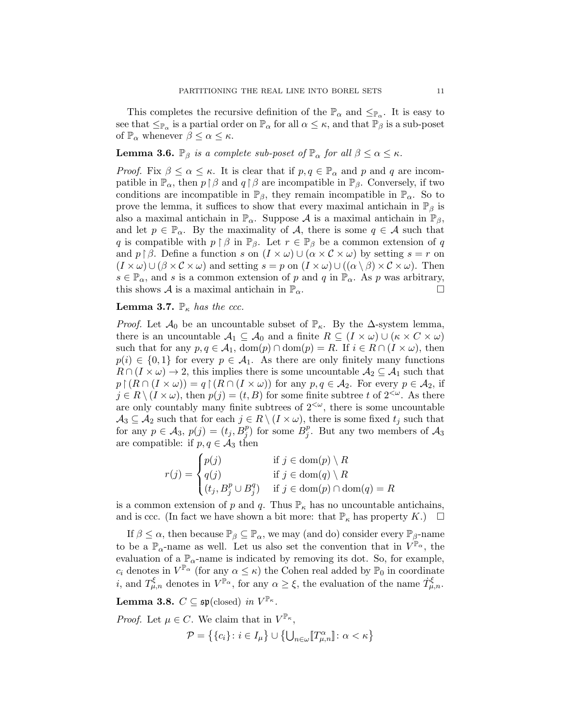This completes the recursive definition of the  $\mathbb{P}_{\alpha}$  and  $\leq_{\mathbb{P}_{\alpha}}$ . It is easy to see that  $\leq_{\mathbb{P}_\alpha}$  is a partial order on  $\mathbb{P}_\alpha$  for all  $\alpha \leq \kappa$ , and that  $\mathbb{P}_\beta$  is a sub-poset of  $\mathbb{P}_{\alpha}$  whenever  $\beta \leq \alpha \leq \kappa$ .

# **Lemma 3.6.**  $\mathbb{P}_{\beta}$  *is a complete sub-poset of*  $\mathbb{P}_{\alpha}$  *for all*  $\beta \leq \alpha \leq \kappa$ *.*

*Proof.* Fix  $\beta \leq \alpha \leq \kappa$ . It is clear that if  $p, q \in \mathbb{P}_{\alpha}$  and p and q are incompatible in  $\mathbb{P}_{\alpha}$ , then  $p \upharpoonright \beta$  and  $q \upharpoonright \beta$  are incompatible in  $\mathbb{P}_{\beta}$ . Conversely, if two conditions are incompatible in  $\mathbb{P}_{\beta}$ , they remain incompatible in  $\mathbb{P}_{\alpha}$ . So to prove the lemma, it suffices to show that every maximal antichain in  $\mathbb{P}_{\beta}$  is also a maximal antichain in  $\mathbb{P}_{\alpha}$ . Suppose A is a maximal antichain in  $\mathbb{P}_{\beta}$ , and let  $p \in \mathbb{P}_{\alpha}$ . By the maximality of A, there is some  $q \in \mathcal{A}$  such that q is compatible with  $p \restriction \beta$  in  $\mathbb{P}_{\beta}$ . Let  $r \in \mathbb{P}_{\beta}$  be a common extension of q and  $p \upharpoonright \beta$ . Define a function s on  $(I \times \omega) \cup (\alpha \times C \times \omega)$  by setting  $s = r$  on  $(I \times \omega) \cup (\beta \times C \times \omega)$  and setting  $s = p$  on  $(I \times \omega) \cup ((\alpha \setminus \beta) \times C \times \omega)$ . Then  $s \in \mathbb{P}_{\alpha}$ , and s is a common extension of p and q in  $\mathbb{P}_{\alpha}$ . As p was arbitrary, this shows A is a maximal antichain in  $\mathbb{P}_{\alpha}$ .

# **Lemma 3.7.**  $\mathbb{P}_{\kappa}$  *has the ccc.*

*Proof.* Let  $\mathcal{A}_0$  be an uncountable subset of  $\mathbb{P}_{\kappa}$ . By the  $\Delta$ -system lemma, there is an uncountable  $\mathcal{A}_1 \subseteq \mathcal{A}_0$  and a finite  $R \subseteq (I \times \omega) \cup (\kappa \times C \times \omega)$ such that for any  $p, q \in \mathcal{A}_1$ ,  $dom(p) \cap dom(p) = R$ . If  $i \in R \cap (I \times \omega)$ , then  $p(i) \in \{0,1\}$  for every  $p \in A_1$ . As there are only finitely many functions  $R \cap (I \times \omega) \to 2$ , this implies there is some uncountable  $\mathcal{A}_2 \subseteq \mathcal{A}_1$  such that  $p \upharpoonright (R \cap (I \times \omega)) = q \upharpoonright (R \cap (I \times \omega))$  for any  $p, q \in A_2$ . For every  $p \in A_2$ , if  $j \in R \setminus (I \times \omega)$ , then  $p(j) = (t, B)$  for some finite subtree t of  $2^{<\omega}$ . As there are only countably many finite subtrees of  $2<sup>{\omega}</sup>$ , there is some uncountable  $A_3 \subseteq A_2$  such that for each  $j \in R \setminus (I \times \omega)$ , there is some fixed  $t_j$  such that for any  $p \in \mathcal{A}_3$ ,  $p(j) = (t_j, B_j^p)$  for some  $B_j^p$  $j<sup>p</sup>$ . But any two members of  $A_3$ are compatible: if  $p, q \in \mathcal{A}_3$  then

$$
r(j) = \begin{cases} p(j) & \text{if } j \in \text{dom}(p) \setminus R \\ q(j) & \text{if } j \in \text{dom}(q) \setminus R \\ (t_j, B_j^p \cup B_j^q) & \text{if } j \in \text{dom}(p) \cap \text{dom}(q) = R \end{cases}
$$

is a common extension of p and q. Thus  $\mathbb{P}_{\kappa}$  has no uncountable antichains, and is ccc. (In fact we have shown a bit more: that  $\mathbb{P}_{\kappa}$  has property  $K$ .)  $\Box$ 

If  $\beta \leq \alpha$ , then because  $\mathbb{P}_{\beta} \subseteq \mathbb{P}_{\alpha}$ , we may (and do) consider every  $\mathbb{P}_{\beta}$ -name to be a  $\mathbb{P}_{\alpha}$ -name as well. Let us also set the convention that in  $V^{\mathbb{P}_{\alpha}}$ , the evaluation of a  $\mathbb{P}_{\alpha}$ -name is indicated by removing its dot. So, for example,  $c_i$  denotes in  $V^{\mathbb{P}_{\alpha}}$  (for any  $\alpha \leq \kappa$ ) the Cohen real added by  $\mathbb{P}_0$  in coordinate *i*, and  $T_{\mu,n}^{\xi}$  denotes in  $V^{\mathbb{P}_{\alpha}}$ , for any  $\alpha \geq \xi$ , the evaluation of the name  $\dot{T}_{\mu,n}^{\xi}$ .

<span id="page-10-0"></span>Lemma 3.8.  $C \subseteq \mathfrak{sp}(\text{closed})$  *in*  $V^{\mathbb{P}_{\kappa}}$ *.* 

*Proof.* Let  $\mu \in C$ . We claim that in  $V^{\mathbb{P}_{\kappa}},$  $\mathcal{P} = \left\{ \{c_i\} : i \in I_\mu \right\} \cup \left\{ \bigcup_{n \in \omega} \llbracket T_{\mu,n}^\alpha \rrbracket : \alpha < \kappa \right\}$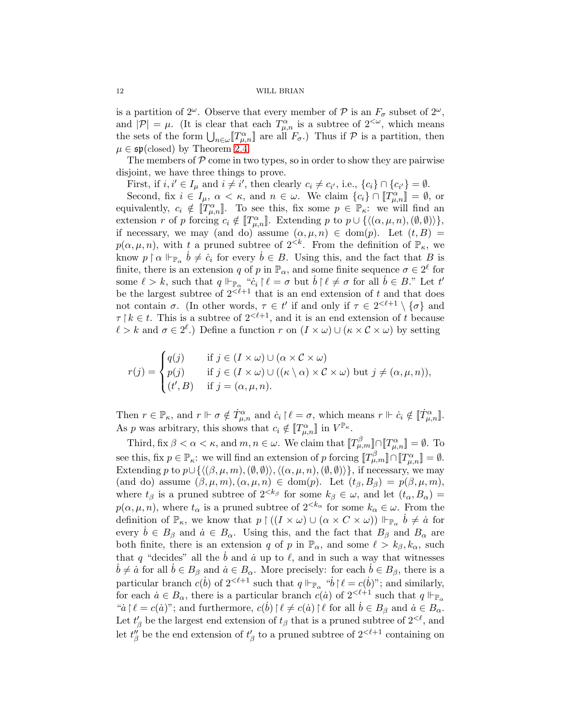is a partition of  $2^{\omega}$ . Observe that every member of  $P$  is an  $F_{\sigma}$  subset of  $2^{\omega}$ , and  $|\mathcal{P}| = \mu$ . (It is clear that each  $T^{\alpha}_{\mu,n}$  is a subtree of  $2^{<\omega}$ , which means the sets of the form  $\bigcup_{n\in\omega} [T^{\alpha}_{\mu,n}]$  are all  $F_{\sigma}$ .) Thus if  $\mathcal P$  is a partition, then  $\mu \in \mathfrak{sp}(\text{closed})$  by Theorem [2.4.](#page-4-1)

The members of  $P$  come in two types, so in order to show they are pairwise disjoint, we have three things to prove.

First, if  $i, i' \in I_\mu$  and  $i \neq i'$ , then clearly  $c_i \neq c_{i'}$ , i.e.,  $\{c_i\} \cap \{c_{i'}\} = \emptyset$ .

Second, fix  $i \in I_\mu$ ,  $\alpha < \kappa$ , and  $n \in \omega$ . We claim  $\{c_i\} \cap [T^{\alpha}_{\mu,n}] = \emptyset$ , or equivalently,  $c_i \notin [T^{\alpha}_{\mu,n}]$ . To see this, fix some  $p \in \mathbb{P}_{\kappa}$ : we will find an extension r of p forcing  $c_i \notin [T^{\alpha}_{\mu,n}]$ . Extending p to  $p \cup \{(\alpha,\mu,n),(\emptyset,\emptyset)\}\},\$ if necessary, we may (and do) assume  $(\alpha, \mu, n) \in \text{dom}(p)$ . Let  $(t, B) =$  $p(\alpha, \mu, n)$ , with t a pruned subtree of  $2^{< k}$ . From the definition of  $\mathbb{P}_{\kappa}$ , we know  $p \restriction \alpha \Vdash_{\mathbb{P}_\alpha} \dot{b} \neq \dot{c}_i$  for every  $\dot{b} \in B$ . Using this, and the fact that B is finite, there is an extension q of p in  $\mathbb{P}_{\alpha}$ , and some finite sequence  $\sigma \in 2^{\ell}$  for some  $\ell > k$ , such that  $q \Vdash_{\mathbb{P}_{\alpha}} "c_i \upharpoonright \ell = \sigma$  but  $\dot{b} \upharpoonright \ell \neq \sigma$  for all  $\dot{b} \in B$ ." Let  $t'$ be the largest subtree of  $2<sup>{2\ell+1}</sup>$  that is an end extension of t and that does not contain  $\sigma$ . (In other words,  $\tau \in t'$  if and only if  $\tau \in 2^{<\ell+1} \setminus {\sigma}$  and  $\tau \upharpoonright k \in t$ . This is a subtree of  $2^{<\ell+1}$ , and it is an end extension of t because  $\ell > k$  and  $\sigma \in 2^{\ell}$ .) Define a function r on  $(I \times \omega) \cup (\kappa \times C \times \omega)$  by setting

$$
r(j) = \begin{cases} q(j) & \text{if } j \in (I \times \omega) \cup (\alpha \times C \times \omega) \\ p(j) & \text{if } j \in (I \times \omega) \cup ((\kappa \setminus \alpha) \times C \times \omega) \text{ but } j \neq (\alpha, \mu, n)), \\ (t', B) & \text{if } j = (\alpha, \mu, n). \end{cases}
$$

Then  $r \in \mathbb{P}_{\kappa}$ , and  $r \Vdash \sigma \notin \dot{T}^{\alpha}_{\mu,n}$  and  $\dot{c}_i \upharpoonright \ell = \sigma$ , which means  $r \Vdash \dot{c}_i \notin [\dot{T}^{\alpha}_{\mu,n}].$ As p was arbitrary, this shows that  $c_i \notin [T^{\alpha}_{\mu,n}]$  in  $V^{\mathbb{P}_{\kappa}}$ .

Third, fix  $\beta < \alpha < \kappa$ , and  $m, n \in \omega$ . We claim that  $[\![T^{\beta}_{\mu,m}]\!] \cap [\![T^{\alpha}_{\mu,n}]\!] = \emptyset$ . To see this, fix  $p \in \mathbb{P}_{\kappa}$ : we will find an extension of p forcing  $[\![T^{\beta}_{\mu,m}]\!] \cap [\![T^{\alpha}_{\mu,n}]\!] = \emptyset$ . Extending p to  $p \cup \{ \langle (\beta, \mu, m),(\emptyset, \emptyset) \rangle, \langle (\alpha, \mu, n),(\emptyset, \emptyset) \rangle \},\$ if necessary, we may (and do) assume  $(\beta, \mu, m), (\alpha, \mu, n) \in \text{dom}(p)$ . Let  $(t_\beta, B_\beta) = p(\beta, \mu, m)$ , where  $t_\beta$  is a pruned subtree of  $2^{<\kappa_\beta}$  for some  $k_\beta \in \omega$ , and let  $(t_\alpha, B_\alpha) =$  $p(\alpha, \mu, n)$ , where  $t_{\alpha}$  is a pruned subtree of  $2^{<\kappa_{\alpha}}$  for some  $k_{\alpha} \in \omega$ . From the definition of  $\mathbb{P}_{\kappa}$ , we know that  $p \restriction ((I \times \omega) \cup (\alpha \times C \times \omega)) \Vdash_{\mathbb{P}_{\alpha}} \dot{b} \neq \dot{a}$  for every  $b \in B_\beta$  and  $\dot{a} \in B_\alpha$ . Using this, and the fact that  $B_\beta$  and  $B_\alpha$  are both finite, there is an extension q of p in  $\mathbb{P}_{\alpha}$ , and some  $\ell > k_{\beta}, k_{\alpha}$ , such that q "decides" all the  $\dot{b}$  and  $\dot{a}$  up to  $\ell$ , and in such a way that witnesses  $\dot{b} \neq \dot{a}$  for all  $\dot{b} \in B_\beta$  and  $\dot{a} \in B_\alpha$ . More precisely: for each  $\dot{b} \in B_\beta$ , there is a particular branch  $c(b)$  of  $2^{<\ell+1}$  such that  $q \Vdash_{\mathbb{P}_{\alpha}} \text{``}b \upharpoonright \ell = c(b)$ "; and similarly, for each  $\dot{a} \in B_{\alpha}$ , there is a particular branch  $c(\dot{a})$  of  $2^{<\ell+1}$  such that  $q \Vdash_{\mathbb{P}_{\alpha}}$ " $a \nmid \ell = c(a)$ "; and furthermore,  $c(b) \nmid \ell \neq c(a) \nmid \ell$  for all  $b \in B_\beta$  and  $a \in B_\alpha$ . Let  $t'_{\beta}$  be the largest end extension of  $t_{\beta}$  that is a pruned subtree of  $2^{<\ell}$ , and let  $t''_{\beta}$  be the end extension of  $t'_{\beta}$  to a pruned subtree of  $2^{<\ell+1}$  containing on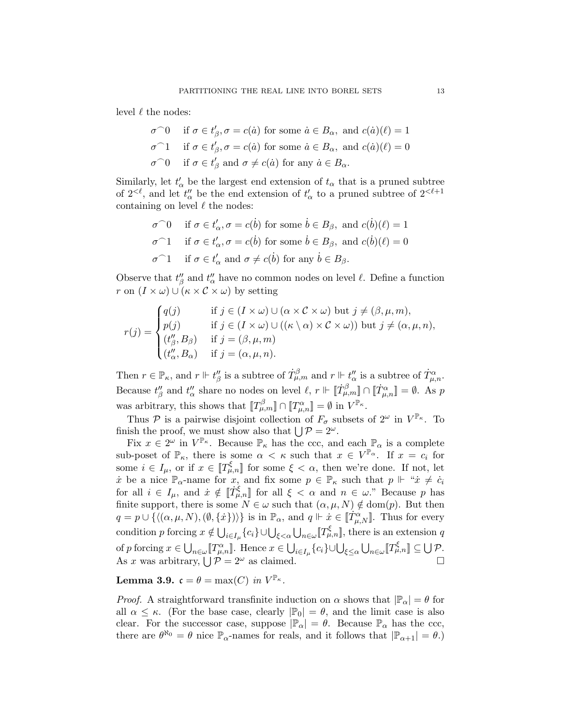level  $\ell$  the nodes:

$$
\begin{aligned}\n\sigma \cap 0 & \text{if } \sigma \in t'_{\beta}, \sigma = c(\dot{a}) \text{ for some } \dot{a} \in B_{\alpha}, \text{ and } c(\dot{a})(\ell) = 1 \\
\sigma \cap 1 & \text{if } \sigma \in t'_{\beta}, \sigma = c(\dot{a}) \text{ for some } \dot{a} \in B_{\alpha}, \text{ and } c(\dot{a})(\ell) = 0 \\
\sigma \cap 0 & \text{if } \sigma \in t'_{\beta} \text{ and } \sigma \neq c(\dot{a}) \text{ for any } \dot{a} \in B_{\alpha}.\n\end{aligned}
$$

Similarly, let  $t'_{\alpha}$  be the largest end extension of  $t_{\alpha}$  that is a pruned subtree of  $2^{<\ell}$ , and let  $t''_{\alpha}$  be the end extension of  $t'_{\alpha}$  to a pruned subtree of  $2^{<\ell+1}$ containing on level  $\ell$  the nodes:

$$
\sigma^{\frown}0 \quad \text{if } \sigma \in t'_{\alpha}, \sigma = c(\dot{b}) \text{ for some } \dot{b} \in B_{\beta}, \text{ and } c(\dot{b})(\ell) = 1
$$
  

$$
\sigma^{\frown}1 \quad \text{if } \sigma \in t'_{\alpha}, \sigma = c(\dot{b}) \text{ for some } \dot{b} \in B_{\beta}, \text{ and } c(\dot{b})(\ell) = 0
$$
  

$$
\sigma^{\frown}1 \quad \text{if } \sigma \in t'_{\alpha} \text{ and } \sigma \neq c(\dot{b}) \text{ for any } \dot{b} \in B_{\beta}.
$$

Observe that  $t''_{\beta}$  and  $t''_{\alpha}$  have no common nodes on level  $\ell$ . Define a function r on  $(I \times \omega) \cup (\kappa \times C \times \omega)$  by setting

$$
r(j) = \begin{cases} q(j) & \text{if } j \in (I \times \omega) \cup (\alpha \times C \times \omega) \text{ but } j \neq (\beta, \mu, m), \\ p(j) & \text{if } j \in (I \times \omega) \cup ((\kappa \setminus \alpha) \times C \times \omega)) \text{ but } j \neq (\alpha, \mu, n), \\ (t''_{\beta}, B_{\beta}) & \text{if } j = (\beta, \mu, m) \\ (t''_{\alpha}, B_{\alpha}) & \text{if } j = (\alpha, \mu, n). \end{cases}
$$

Then  $r \in \mathbb{P}_{\kappa}$ , and  $r \Vdash t''_{\beta}$  is a subtree of  $\dot{T}^{\beta}_{\mu,m}$  and  $r \Vdash t''_{\alpha}$  is a subtree of  $\dot{T}^{\alpha}_{\mu,n}$ . Because  $t''_{\beta}$  and  $t''_{\alpha}$  share no nodes on level  $\ell, r \Vdash \llbracket \dot{T}^{\beta}_{\mu,m} \rrbracket \cap \llbracket \dot{T}^{\alpha}_{\mu,n} \rrbracket = \emptyset$ . As p was arbitrary, this shows that  $[\![T^{\beta}_{\mu,m}]\!] \cap [\![T^{\alpha}_{\mu,n}]\!] = \emptyset$  in  $V^{\mathbb{P}_{\kappa}}$ .

Thus P is a pairwise disjoint collection of  $F_{\sigma}$  subsets of  $2^{\omega}$  in  $V^{\mathbb{P}_{\kappa}}$ . To finish the proof, we must show also that  $\bigcup \mathcal{P} = 2^{\omega}$ .

Fix  $x \in 2^{\omega}$  in  $V^{\mathbb{P}_{\kappa}}$ . Because  $\mathbb{P}_{\kappa}$  has the ccc, and each  $\mathbb{P}_{\alpha}$  is a complete sub-poset of  $\mathbb{P}_{\kappa}$ , there is some  $\alpha < \kappa$  such that  $x \in V^{\mathbb{P}_{\alpha}}$ . If  $x = c_i$  for some  $i \in I_{\mu}$ , or if  $x \in \llbracket T_{\mu,n}^{\xi} \rrbracket$  for some  $\xi < \alpha$ , then we're done. If not, let x be a nice  $\mathbb{P}_{\alpha}$ -name for x, and fix some  $p \in \mathbb{P}_{\kappa}$  such that  $p \Vdash "x \neq c_i$ for all  $i \in I_{\mu}$ , and  $\dot{x} \notin \llbracket \dot{T}^{\xi}_{\mu,n} \rrbracket$  for all  $\xi < \alpha$  and  $n \in \omega$ ." Because p has finite support, there is some  $N \in \omega$  such that  $(\alpha, \mu, N) \notin \text{dom}(p)$ . But then  $q = p \cup \{ \langle (\alpha, \mu, N),(\emptyset, {\{x\}}) \rangle \}$  is in  $\mathbb{P}_{\alpha}$ , and  $q \Vdash \dot{x} \in [\dot{T}^{\alpha}_{\mu,N}]$ . Thus for every condition p forcing  $x \notin \bigcup_{i \in I_\mu} \{c_i\} \cup \bigcup_{\xi < \alpha} \bigcup_{n \in \omega} [T_{\mu,n}^{\xi}],$  there is an extension q of p forcing  $x \in \bigcup_{n \in \omega} [\![T^{\alpha}_{\mu,n}]\!]$ . Hence  $x \in \bigcup_{i \in I_{\mu}} \{c_i\} \cup \bigcup_{\xi \leq \alpha} \bigcup_{n \in \omega} [\![T^{\xi}_{\mu,n}]\!] \subseteq \bigcup \mathcal{P}$ . As x was arbitrary,  $\bigcup \mathcal{P} = 2^{\omega}$  as claimed.

Lemma 3.9.  $\mathfrak{c} = \theta = \max(C) \; in \; V^{\mathbb{P}_{\kappa}}$ .

*Proof.* A straightforward transfinite induction on  $\alpha$  shows that  $|\mathbb{P}_{\alpha}| = \theta$  for all  $\alpha \leq \kappa$ . (For the base case, clearly  $|\mathbb{P}_0| = \theta$ , and the limit case is also clear. For the successor case, suppose  $|\mathbb{P}_{\alpha}| = \theta$ . Because  $\mathbb{P}_{\alpha}$  has the ccc, there are  $\theta^{\aleph_0} = \theta$  nice  $\mathbb{P}_{\alpha}$ -names for reals, and it follows that  $|\mathbb{P}_{\alpha+1}| = \theta$ .)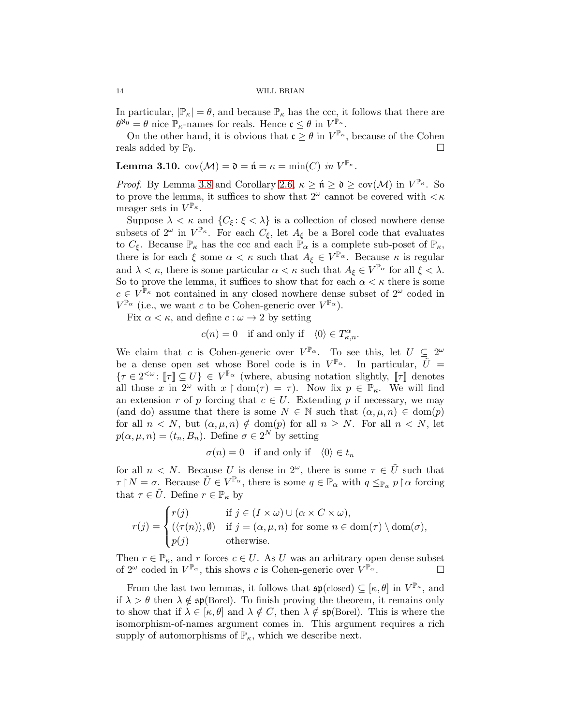In particular,  $|\mathbb{P}_{\kappa}| = \theta$ , and because  $\mathbb{P}_{\kappa}$  has the ccc, it follows that there are  $\theta^{\aleph_0} = \theta$  nice  $\mathbb{P}_{\kappa}$ -names for reals. Hence  $\mathfrak{c} \leq \theta$  in  $V^{\mathbb{P}_{\kappa}}$ .

On the other hand, it is obvious that  $\mathfrak{c} \geq \theta$  in  $V^{\mathbb{P}_{\kappa}}$ , because of the Cohen reals added by  $\mathbb{P}_0$ .

**Lemma 3.10.**  $cov(\mathcal{M}) = \mathfrak{d} = \mathfrak{n} = \kappa = \min(C) \text{ in } V^{\mathbb{P}_{\kappa}}$ .

*Proof.* By Lemma [3.8](#page-10-0) and Corollary [2.6,](#page-5-0)  $\kappa \geq \mathfrak{n} \geq \mathfrak{d} \geq \text{cov}(\mathcal{M})$  in  $V^{\mathbb{P}_{\kappa}}$ . So to prove the lemma, it suffices to show that  $2^{\omega}$  cannot be covered with  $\lt \kappa$ meager sets in  $V^{\mathbb{P}_{\kappa}}$ .

Suppose  $\lambda < \kappa$  and  $\{C_{\xi} : \xi < \lambda\}$  is a collection of closed nowhere dense subsets of  $2^{\omega}$  in  $V^{\mathbb{P}_{\kappa}}$ . For each  $C_{\xi}$ , let  $A_{\xi}$  be a Borel code that evaluates to  $C_{\xi}$ . Because  $\mathbb{P}_{\kappa}$  has the ccc and each  $\mathbb{P}_{\alpha}$  is a complete sub-poset of  $\mathbb{P}_{\kappa}$ , there is for each  $\xi$  some  $\alpha < \kappa$  such that  $A_{\xi} \in V^{\mathbb{P}_{\alpha}}$ . Because  $\kappa$  is regular and  $\lambda < \kappa$ , there is some particular  $\alpha < \kappa$  such that  $A_{\xi} \in V^{\mathbb{P}_{\alpha}}$  for all  $\xi < \lambda$ . So to prove the lemma, it suffices to show that for each  $\alpha < \kappa$  there is some  $c \in V^{\mathbb{P}_{\kappa}}$  not contained in any closed nowhere dense subset of  $2^{\omega}$  coded in  $V^{\mathbb{P}_{\alpha}}$  (i.e., we want c to be Cohen-generic over  $V^{\mathbb{P}_{\alpha}}$ ).

Fix  $\alpha < \kappa$ , and define  $c : \omega \to 2$  by setting

$$
c(n) = 0
$$
 if and only if  $\langle 0 \rangle \in T_{\kappa,n}^{\alpha}$ .

We claim that c is Cohen-generic over  $V^{\mathbb{P}_{\alpha}}$ . To see this, let  $U \subseteq 2^{\omega}$ be a dense open set whose Borel code is in  $V^{\mathbb{P}_{\alpha}}$ . In particular,  $\tilde{U} =$  $\{\tau \in 2^{<\omega} : \llbracket \tau \rrbracket \subseteq U\} \in V^{\mathbb{P}_{\alpha}}$  (where, abusing notation slightly,  $\llbracket \tau \rrbracket$  denotes all those x in  $2^{\omega}$  with  $x \restriction \text{dom}(\tau) = \tau$ . Now fix  $p \in \mathbb{P}_{\kappa}$ . We will find an extension r of p forcing that  $c \in U$ . Extending p if necessary, we may (and do) assume that there is some  $N \in \mathbb{N}$  such that  $(\alpha, \mu, n) \in \text{dom}(p)$ for all  $n < N$ , but  $(\alpha, \mu, n) \notin \text{dom}(p)$  for all  $n \geq N$ . For all  $n < N$ , let  $p(\alpha, \mu, n) = (t_n, B_n)$ . Define  $\sigma \in 2^N$  by setting

$$
\sigma(n) = 0 \quad \text{if and only if} \quad \langle 0 \rangle \in t_n
$$

for all  $n \leq N$ . Because U is dense in  $2^{\omega}$ , there is some  $\tau \in \tilde{U}$  such that  $\tau \upharpoonright N = \sigma$ . Because  $\tilde{U} \in V^{\mathbb{P}_{\alpha}}$ , there is some  $q \in \mathbb{P}_{\alpha}$  with  $q \leq_{\mathbb{P}_{\alpha}} p \upharpoonright \alpha$  forcing that  $\tau \in \tilde{U}$ . Define  $r \in \mathbb{P}_{\kappa}$  by

$$
r(j) = \begin{cases} r(j) & \text{if } j \in (I \times \omega) \cup (\alpha \times C \times \omega), \\ (\langle \tau(n) \rangle, \emptyset) & \text{if } j = (\alpha, \mu, n) \text{ for some } n \in \text{dom}(\tau) \setminus \text{dom}(\sigma), \\ p(j) & \text{otherwise.} \end{cases}
$$

Then  $r \in \mathbb{P}_{\kappa}$ , and r forces  $c \in U$ . As U was an arbitrary open dense subset of  $2^{\omega}$  coded in  $V^{\mathbb{P}_{\alpha}}$ , this shows c is Cohen-generic over  $V^{\mathbb{P}_{\alpha}}$ .

From the last two lemmas, it follows that  $\mathfrak{sp}(\text{closed}) \subseteq [\kappa, \theta]$  in  $V^{\mathbb{P}_{\kappa}}$ , and if  $\lambda > \theta$  then  $\lambda \notin \mathfrak{sp}(\text{Borel})$ . To finish proving the theorem, it remains only to show that if  $\lambda \in [\kappa, \theta]$  and  $\lambda \notin C$ , then  $\lambda \notin \mathfrak{sp}(\text{Borel})$ . This is where the isomorphism-of-names argument comes in. This argument requires a rich supply of automorphisms of  $\mathbb{P}_{\kappa}$ , which we describe next.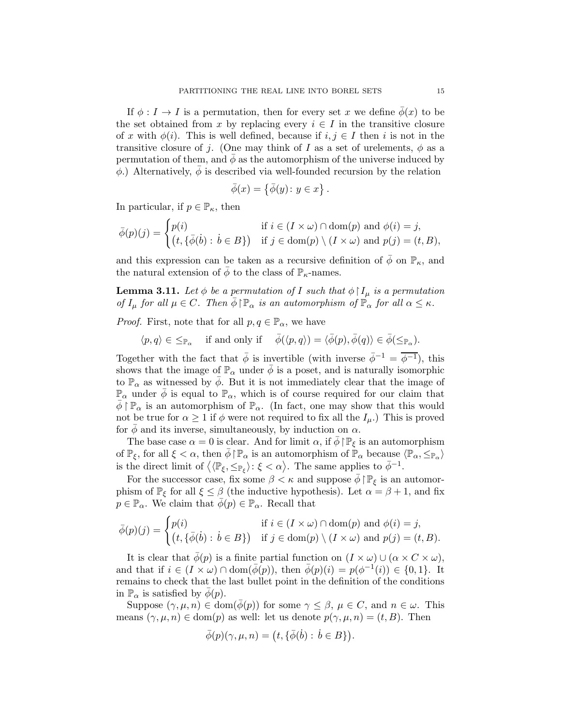If  $\phi: I \to I$  is a permutation, then for every set x we define  $\phi(x)$  to be the set obtained from x by replacing every  $i \in I$  in the transitive closure of x with  $\phi(i)$ . This is well defined, because if  $i, j \in I$  then i is not in the transitive closure of j. (One may think of I as a set of urelements,  $\phi$  as a permutation of them, and  $\phi$  as the automorphism of the universe induced by  $\phi$ .) Alternatively,  $\phi$  is described via well-founded recursion by the relation

$$
\bar{\phi}(x) = \{ \bar{\phi}(y) \colon y \in x \} .
$$

In particular, if  $p \in \mathbb{P}_{\kappa}$ , then

$$
\bar{\phi}(p)(j) = \begin{cases} p(i) & \text{if } i \in (I \times \omega) \cap \text{dom}(p) \text{ and } \phi(i) = j, \\ (t, \{\bar{\phi}(b) : b \in B\}) & \text{if } j \in \text{dom}(p) \setminus (I \times \omega) \text{ and } p(j) = (t, B), \end{cases}
$$

and this expression can be taken as a recursive definition of  $\bar{\phi}$  on  $\mathbb{P}_{\kappa}$ , and the natural extension of  $\phi$  to the class of  $\mathbb{P}_{\kappa}$ -names.

<span id="page-14-0"></span>**Lemma 3.11.** Let  $\phi$  be a permutation of I such that  $\phi \restriction I_\mu$  is a permutation *of*  $I_{\mu}$  *for all*  $\mu \in C$ *. Then*  $\bar{\phi} \upharpoonright \mathbb{P}_{\alpha}$  *is an automorphism of*  $\mathbb{P}_{\alpha}$  *for all*  $\alpha \leq \kappa$ *.* 

*Proof.* First, note that for all  $p, q \in \mathbb{P}_{\alpha}$ , we have

$$
\langle p, q \rangle \in \leq_{\mathbb{P}_{\alpha}}
$$
 if and only if  $\overline{\phi}(\langle p, q \rangle) = \langle \overline{\phi}(p), \overline{\phi}(q) \rangle \in \overline{\phi}(\leq_{\mathbb{P}_{\alpha}}).$ 

Together with the fact that  $\bar{\phi}$  is invertible (with inverse  $\bar{\phi}^{-1} = \overline{\phi^{-1}}$ ), this shows that the image of  $\mathbb{P}_{\alpha}$  under  $\phi$  is a poset, and is naturally isomorphic to  $\mathbb{P}_{\alpha}$  as witnessed by  $\bar{\phi}$ . But it is not immediately clear that the image of  $\mathbb{P}_{\alpha}$  under  $\bar{\phi}$  is equal to  $\mathbb{P}_{\alpha}$ , which is of course required for our claim that  $\phi \restriction \mathbb{P}_\alpha$  is an automorphism of  $\mathbb{P}_\alpha$ . (In fact, one may show that this would not be true for  $\alpha \geq 1$  if  $\phi$  were not required to fix all the  $I_{\mu}$ .) This is proved for  $\phi$  and its inverse, simultaneously, by induction on  $\alpha$ .

The base case  $\alpha = 0$  is clear. And for limit  $\alpha$ , if  $\phi \upharpoonright \mathbb{P}_{\xi}$  is an automorphism of  $\mathbb{P}_{\xi}$ , for all  $\xi < \alpha$ , then  $\bar{\phi} \upharpoonright \mathbb{P}_{\alpha}$  is an automorphism of  $\mathbb{P}_{\alpha}$  because  $\langle \mathbb{P}_{\alpha}, \leq_{\mathbb{P}_{\alpha}} \rangle$ is the direct limit of  $\langle \langle \mathbb{P}_{\xi}, \leq_{\mathbb{P}_{\xi}} \rangle : \xi < \alpha \rangle$ . The same applies to  $\bar{\phi}^{-1}$ .

For the successor case, fix some  $\beta < \kappa$  and suppose  $\bar{\phi} \restriction \mathbb{P}_{\xi}$  is an automorphism of  $\mathbb{P}_{\xi}$  for all  $\xi \leq \beta$  (the inductive hypothesis). Let  $\alpha = \beta + 1$ , and fix  $p \in \mathbb{P}_{\alpha}$ . We claim that  $\bar{\phi}(p) \in \mathbb{P}_{\alpha}$ . Recall that

$$
\bar{\phi}(p)(j) = \begin{cases} p(i) & \text{if } i \in (I \times \omega) \cap \text{dom}(p) \text{ and } \phi(i) = j, \\ (t, \{\bar{\phi}(b) : b \in B\}) & \text{if } j \in \text{dom}(p) \setminus (I \times \omega) \text{ and } p(j) = (t, B). \end{cases}
$$

It is clear that  $\bar{\phi}(p)$  is a finite partial function on  $(I \times \omega) \cup (\alpha \times C \times \omega)$ , and that if  $i \in (I \times \omega) \cap \text{dom}(\overline{\phi}(p))$ , then  $\overline{\phi}(p)(i) = p(\phi^{-1}(i)) \in \{0,1\}$ . It remains to check that the last bullet point in the definition of the conditions in  $\mathbb{P}_{\alpha}$  is satisfied by  $\phi(p)$ .

Suppose  $(\gamma, \mu, n) \in \text{dom}(\overline{\phi}(p))$  for some  $\gamma \leq \beta, \mu \in C$ , and  $n \in \omega$ . This means  $(\gamma, \mu, n) \in \text{dom}(p)$  as well: let us denote  $p(\gamma, \mu, n) = (t, B)$ . Then

$$
\overline{\phi}(p)(\gamma,\mu,n) = \big(t, \{\overline{\phi}(\dot{b}) : \dot{b} \in B\}\big).
$$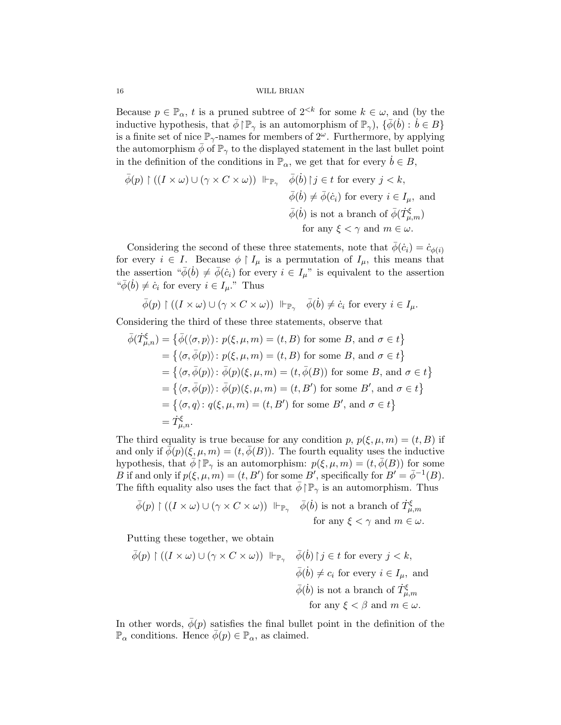Because  $p \in \mathbb{P}_{\alpha}$ , t is a pruned subtree of  $2^{< k}$  for some  $k \in \omega$ , and (by the inductive hypothesis, that  $\bar{\phi} \restriction \mathbb{P}_{\gamma}$  is an automorphism of  $\mathbb{P}_{\gamma}$ ),  $\{\bar{\phi}(\dot{b}) : \dot{b} \in B\}$ is a finite set of nice  $\mathbb{P}_{\gamma}$ -names for members of  $2^{\omega}$ . Furthermore, by applying the automorphism  $\phi$  of  $\mathbb{P}_{\gamma}$  to the displayed statement in the last bullet point in the definition of the conditions in  $\mathbb{P}_{\alpha}$ , we get that for every  $b \in B$ ,

$$
\begin{aligned}\n\bar{\phi}(p) \upharpoonright ((I \times \omega) \cup (\gamma \times C \times \omega)) \Vdash_{\mathbb{P}_{\gamma}} \quad \bar{\phi}(\dot{b}) \upharpoonright j \in t \text{ for every } j < k, \\
\bar{\phi}(\dot{b}) \neq \bar{\phi}(\dot{c}_i) \text{ for every } i \in I_{\mu}, \text{ and} \\
\bar{\phi}(\dot{b}) \text{ is not a branch of } \bar{\phi}(\dot{T}^{\xi}_{\mu,m}) \\
\text{for any } \xi < \gamma \text{ and } m \in \omega.\n\end{aligned}
$$

Considering the second of these three statements, note that  $\bar{\phi}(c_i) = \dot{c}_{\phi(i)}$ for every  $i \in I$ . Because  $\phi \restriction I_\mu$  is a permutation of  $I_\mu$ , this means that the assertion " $\bar{\phi}(\dot{b}) \neq \bar{\phi}(\dot{c}_i)$  for every  $i \in I_\mu$ " is equivalent to the assertion " $\overline{\phi}(\dot{b}) \neq \dot{c}_i$  for every  $i \in I_\mu$ ." Thus

$$
\bar{\phi}(p) \upharpoonright ((I \times \omega) \cup (\gamma \times C \times \omega)) \Vdash_{\mathbb{P}_\gamma} \quad \bar{\phi}(\dot{b}) \neq \dot{c}_i \text{ for every } i \in I_\mu.
$$

Considering the third of these three statements, observe that

$$
\bar{\phi}(\dot{T}^{\xi}_{\mu,n}) = \{\bar{\phi}(\langle \sigma, p \rangle) : p(\xi, \mu, m) = (t, B) \text{ for some } B, \text{ and } \sigma \in t\}
$$
  
\n
$$
= \{\langle \sigma, \bar{\phi}(p) \rangle : p(\xi, \mu, m) = (t, B) \text{ for some } B, \text{ and } \sigma \in t\}
$$
  
\n
$$
= \{\langle \sigma, \bar{\phi}(p) \rangle : \bar{\phi}(p)(\xi, \mu, m) = (t, \bar{\phi}(B)) \text{ for some } B, \text{ and } \sigma \in t\}
$$
  
\n
$$
= \{\langle \sigma, \bar{\phi}(p) \rangle : \bar{\phi}(p)(\xi, \mu, m) = (t, B') \text{ for some } B', \text{ and } \sigma \in t\}
$$
  
\n
$$
= \{\langle \sigma, q \rangle : q(\xi, \mu, m) = (t, B') \text{ for some } B', \text{ and } \sigma \in t\}
$$
  
\n
$$
= \dot{T}^{\xi}_{\mu,n}.
$$

The third equality is true because for any condition p,  $p(\xi, \mu, m) = (t, B)$  if and only if  $\bar{\phi}(p)(\xi, \mu, m) = (t, \bar{\phi}(B))$ . The fourth equality uses the inductive hypothesis, that  $\bar{\phi} \upharpoonright \mathbb{P}_{\gamma}$  is an automorphism:  $p(\xi, \mu, m) = (t, \bar{\phi}(B))$  for some B if and only if  $p(\xi, \mu, m) = (t, B')$  for some B', specifically for  $B' = \overline{\phi}^{-1}(B)$ . The fifth equality also uses the fact that  $\phi \upharpoonright \mathbb{P}_{\gamma}$  is an automorphism. Thus

$$
\bar{\phi}(p) \upharpoonright ((I \times \omega) \cup (\gamma \times C \times \omega)) \Vdash_{\mathbb{P}_\gamma} \bar{\phi}(b) \text{ is not a branch of } \dot{T}^{\xi}_{\mu,m} \text{ for any } \xi < \gamma \text{ and } m \in \omega.
$$

Putting these together, we obtain

$$
\begin{aligned}\n\bar{\phi}(p) \upharpoonright ((I \times \omega) \cup (\gamma \times C \times \omega)) \quad &\Vdash_{\mathbb{P}_{\gamma}} \quad \bar{\phi}(b) \upharpoonright j \in t \text{ for every } j < k, \\
\bar{\phi}(b) \neq c_i \text{ for every } i \in I_{\mu}, \text{ and} \\
\bar{\phi}(b) \text{ is not a branch of } T^{\xi}_{\mu,m} \\
\text{for any } \xi < \beta \text{ and } m \in \omega.\n\end{aligned}
$$

In other words,  $\bar{\phi}(p)$  satisfies the final bullet point in the definition of the  $\mathbb{P}_{\alpha}$  conditions. Hence  $\phi(p) \in \mathbb{P}_{\alpha}$ , as claimed.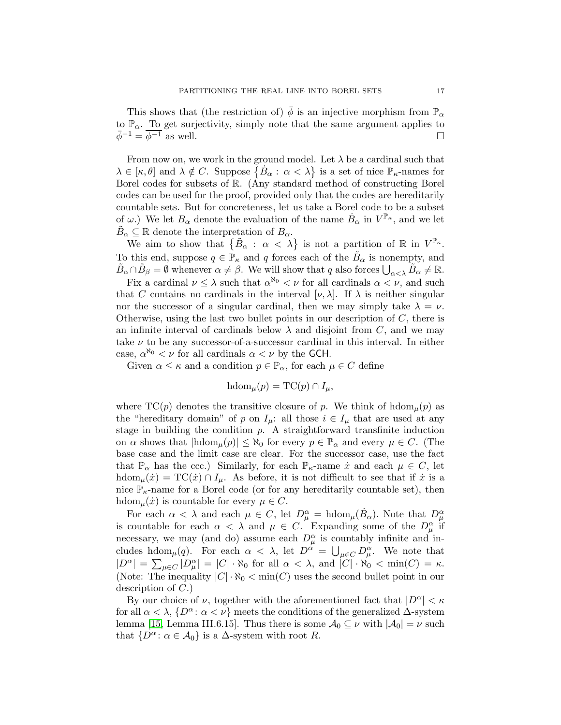This shows that (the restriction of)  $\phi$  is an injective morphism from  $\mathbb{P}_{\alpha}$ to  $\mathbb{P}_{\alpha}$ . To get surjectivity, simply note that the same argument applies to  $\bar{\phi}^{-1} = \overline{\phi^{-1}}$  as well.

From now on, we work in the ground model. Let  $\lambda$  be a cardinal such that  $\lambda \in [\kappa, \theta]$  and  $\lambda \notin C$ . Suppose  $\{\dot{B}_{\alpha} : \alpha < \lambda\}$  is a set of nice  $\mathbb{P}_{\kappa}$ -names for Borel codes for subsets of R. (Any standard method of constructing Borel codes can be used for the proof, provided only that the codes are hereditarily countable sets. But for concreteness, let us take a Borel code to be a subset of  $\omega$ .) We let  $B_{\alpha}$  denote the evaluation of the name  $\dot{B}_{\alpha}$  in  $V^{\mathbb{P}_{\kappa}}$ , and we let  $\tilde{B}_{\alpha} \subseteq \mathbb{R}$  denote the interpretation of  $B_{\alpha}$ .

We aim to show that  $\{\tilde{B}_{\alpha} : \alpha < \lambda\}$  is not a partition of  $\mathbb R$  in  $V^{\mathbb P_\kappa}$ . To this end, suppose  $q \in \mathbb{P}_{\kappa}$  and q forces each of the  $\tilde{B}_{\alpha}$  is nonempty, and  $\tilde{B}_{\alpha} \cap \tilde{B}_{\beta} = \emptyset$  whenever  $\alpha \neq \beta$ . We will show that q also forces  $\bigcup_{\alpha < \lambda} \tilde{B}_{\alpha} \neq \mathbb{R}$ .

Fix a cardinal  $\nu \leq \lambda$  such that  $\alpha^{\aleph_0} < \nu$  for all cardinals  $\alpha < \nu$ , and such that C contains no cardinals in the interval  $[\nu, \lambda]$ . If  $\lambda$  is neither singular nor the successor of a singular cardinal, then we may simply take  $\lambda = \nu$ . Otherwise, using the last two bullet points in our description of  $C$ , there is an infinite interval of cardinals below  $\lambda$  and disjoint from C, and we may take  $\nu$  to be any successor-of-a-successor cardinal in this interval. In either case,  $\alpha^{\aleph_0} < \nu$  for all cardinals  $\alpha < \nu$  by the GCH.

Given  $\alpha \leq \kappa$  and a condition  $p \in \mathbb{P}_{\alpha}$ , for each  $\mu \in C$  define

$$
\mathrm{hdom}_{\mu}(p) = \mathrm{TC}(p) \cap I_{\mu},
$$

where  $TC(p)$  denotes the transitive closure of p. We think of hdom<sub> $\mu$ </sub>(p) as the "hereditary domain" of p on  $I_{\mu}$ : all those  $i \in I_{\mu}$  that are used at any stage in building the condition  $p$ . A straightforward transfinite induction on  $\alpha$  shows that  $|\text{hdom}_{\mu}(p)| \leq \aleph_0$  for every  $p \in \mathbb{P}_{\alpha}$  and every  $\mu \in C$ . (The base case and the limit case are clear. For the successor case, use the fact that  $\mathbb{P}_{\alpha}$  has the ccc.) Similarly, for each  $\mathbb{P}_{\kappa}$ -name  $\dot{x}$  and each  $\mu \in C$ , let hdom $\mu(\dot{x}) = \text{TC}(\dot{x}) \cap I_{\mu}$ . As before, it is not difficult to see that if  $\dot{x}$  is a nice  $\mathbb{P}_{\kappa}$ -name for a Borel code (or for any hereditarily countable set), then hdom $_{\mu}(\dot{x})$  is countable for every  $\mu \in C$ .

For each  $\alpha < \lambda$  and each  $\mu \in C$ , let  $D_{\mu}^{\alpha} = \text{hdom}_{\mu}(\dot{B}_{\alpha})$ . Note that  $D_{\mu}^{\alpha}$  is countable for each  $\alpha < \lambda$  and  $\mu \in C$ . Expanding some of the  $D_{\mu}^{\alpha}$  if necessary, we may (and do) assume each  $D_{\mu}^{\alpha}$  is countably infinite and includes hdom<sub> $\mu$ </sub>(q). For each  $\alpha < \lambda$ , let  $D^{\alpha} = \bigcup_{\mu \in C} D^{\alpha}_{\mu}$ . We note that  $|D^{\alpha}| = \sum_{\mu \in C} |D^{\alpha}_{\mu}| = |C| \cdot \aleph_0$  for all  $\alpha < \lambda$ , and  $|C| \cdot \aleph_0 < \min(C) = \kappa$ . (Note: The inequality  $|C| \cdot \aleph_0 < \min(C)$  uses the second bullet point in our description of C.)

By our choice of  $\nu$ , together with the aforementioned fact that  $|D^{\alpha}| < \kappa$ for all  $\alpha < \lambda$ ,  $\{D^{\alpha} : \alpha < \nu\}$  meets the conditions of the generalized  $\Delta$ -system lemma [\[15,](#page-20-16) Lemma III.6.15]. Thus there is some  $\mathcal{A}_0 \subseteq \nu$  with  $|\mathcal{A}_0| = \nu$  such that  $\{D^{\alpha} : \alpha \in A_0\}$  is a  $\Delta$ -system with root R.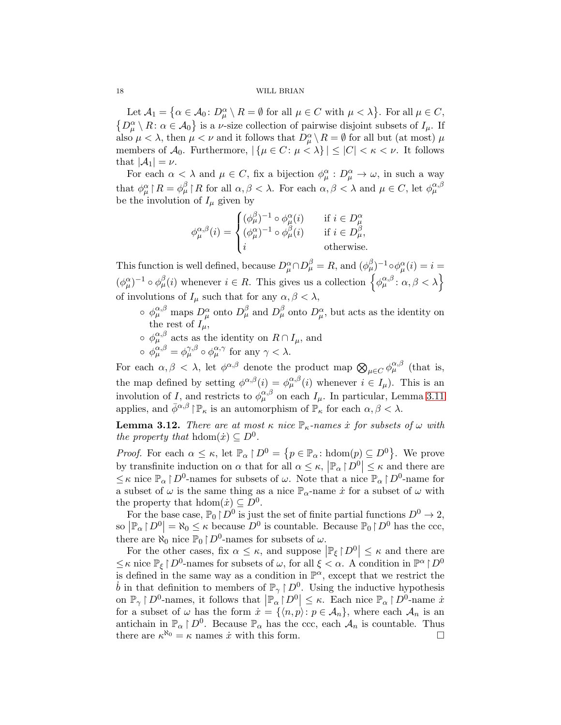Let  $\mathcal{A}_1 = \{ \alpha \in \mathcal{A}_0 \colon D_\mu^\alpha \setminus R = \emptyset \text{ for all } \mu \in C \text{ with } \mu < \lambda \}.$  For all  $\mu \in C$ ,  $\{D_{\mu}^{\alpha}\setminus R\colon \alpha\in\mathcal{A}_0\}$  is a *v*-size collection of pairwise disjoint subsets of  $I_{\mu}$ . If also  $\mu < \lambda$ , then  $\mu < \nu$  and it follows that  $D_{\mu}^{\alpha} \setminus R = \emptyset$  for all but (at most)  $\mu$ members of  $\mathcal{A}_0$ . Furthermore,  $|\{\mu \in C : \mu < \lambda\}| \leq |C| < \kappa < \nu$ . It follows that  $|\mathcal{A}_1| = \nu$ .

For each  $\alpha < \lambda$  and  $\mu \in C$ , fix a bijection  $\phi_{\mu}^{\alpha}: D_{\mu}^{\alpha} \to \omega$ , in such a way that  $\phi^{\alpha}_{\mu} \upharpoonright R = \phi^{\beta}_{\mu} \upharpoonright R$  for all  $\alpha, \beta < \lambda$ . For each  $\alpha, \beta < \lambda$  and  $\mu \in C$ , let  $\phi^{\alpha, \beta}_{\mu}$ be the involution of  $I_\mu$  given by

$$
\phi_{\mu}^{\alpha,\beta}(i) = \begin{cases} (\phi_{\mu}^{\beta})^{-1} \circ \phi_{\mu}^{\alpha}(i) & \text{if } i \in D_{\mu}^{\alpha} \\ (\phi_{\mu}^{\alpha})^{-1} \circ \phi_{\mu}^{\beta}(i) & \text{if } i \in D_{\mu}^{\beta}, \\ i & \text{otherwise.} \end{cases}
$$

This function is well defined, because  $D_{\mu}^{\alpha} \cap D_{\mu}^{\beta} = R$ , and  $(\phi_{\mu}^{\beta})^{-1} \circ \phi_{\mu}^{\alpha}(i) = i =$  $(\phi_{\mu}^{\alpha})^{-1} \circ \phi_{\mu}^{\beta}(i)$  whenever  $i \in R$ . This gives us a collection  $\left\{\phi_{\mu}^{\alpha,\beta} : \alpha, \beta < \lambda\right\}$ of involutions of  $I_{\mu}$  such that for any  $\alpha, \beta < \lambda$ ,

- $\circ \phi_{\mu}^{\alpha,\beta}$  maps  $D_{\mu}^{\alpha}$  onto  $D_{\mu}^{\beta}$  and  $D_{\mu}^{\beta}$  onto  $D_{\mu}^{\alpha}$ , but acts as the identity on the rest of  $I_{\mu}$ ,
- $\circ \phi_{\mu}^{\alpha,\beta}$  acts as the identity on  $R \cap I_{\mu}$ , and
- $\circ \varphi_{\mu}^{\alpha,\beta} = \varphi_{\mu}^{\gamma,\beta} \circ \varphi_{\mu}^{\alpha,\gamma} \text{ for any } \gamma < \lambda.$

For each  $\alpha, \beta < \lambda$ , let  $\phi^{\alpha, \beta}$  denote the product map  $\bigotimes_{\mu \in C} \phi^{\alpha, \beta}_{\mu}$  (that is, the map defined by setting  $\phi^{\alpha,\beta}(i) = \phi^{\alpha,\beta}_{\mu}(i)$  whenever  $i \in I_{\mu}$ ). This is an involution of *I*, and restricts to  $\phi_{\mu}^{\alpha,\beta}$  on each  $I_{\mu}$ . In particular, Lemma [3.11](#page-14-0) applies, and  $\bar{\phi}^{\alpha,\beta}$  | $\mathbb{P}_{\kappa}$  is an automorphism of  $\mathbb{P}_{\kappa}$  for each  $\alpha,\beta < \lambda$ .

**Lemma 3.12.** *There are at most*  $\kappa$  *nice*  $\mathbb{P}_{\kappa}$ *-names*  $\dot{x}$  *for subsets of*  $\omega$  *with the property that*  $hdom(\dot{x}) \subseteq D^0$ *.* 

*Proof.* For each  $\alpha \leq \kappa$ , let  $\mathbb{P}_{\alpha} \restriction D^0 = \{p \in \mathbb{P}_{\alpha} : \text{hdom}(p) \subseteq D^0 \}$ . We prove by transfinite induction on  $\alpha$  that for all  $\alpha \leq \kappa$ ,  $\left| \mathbb{P}_\alpha \restriction D^0 \right| \leq \kappa$  and there are  $\leq \kappa$  nice  $\mathbb{P}_{\alpha} \restriction D^0$ -names for subsets of  $\omega$ . Note that a nice  $\mathbb{P}_{\alpha} \restriction D^0$ -name for a subset of  $\omega$  is the same thing as a nice  $\mathbb{P}_{\alpha}$ -name  $\dot{x}$  for a subset of  $\omega$  with the property that  $\text{hdom}(\dot{x}) \subseteq D^0$ .

For the base case,  $\mathbb{P}_0 \restriction D^0$  is just the set of finite partial functions  $D^0 \to 2$ , so  $\left| \mathbb{P}_{\alpha} \right| D^0 = \aleph_0 \leq \kappa$  because  $D^0$  is countable. Because  $\mathbb{P}_0 \left| D^0 \right|$  has the ccc, there are  $\aleph_0$  nice  $\mathbb{P}_0 \restriction D^0$ -names for subsets of  $\omega$ .

For the other cases, fix  $\alpha \leq \kappa$ , and suppose  $\left| \mathbb{P}_{\xi} \right| D^{0} \right| \leq \kappa$  and there are  $\leq \kappa$  nice  $\mathbb{P}_{\xi} \restriction D^0$ -names for subsets of  $\omega$ , for all  $\xi < \alpha$ . A condition in  $\mathbb{P}^{\alpha} \restriction D^0$ is defined in the same way as a condition in  $\mathbb{P}^{\alpha}$ , except that we restrict the b in that definition to members of  $\mathbb{P}_{\gamma} \restriction D^0$ . Using the inductive hypothesis on  $\mathbb{P}_{\gamma} \restriction D^0$ -names, it follows that  $\left| \mathbb{P}_{\alpha} \restriction D^0 \right| \leq \kappa$ . Each nice  $\mathbb{P}_{\alpha} \restriction D^0$ -name  $\dot{x}$ for a subset of  $\omega$  has the form  $\dot{x} = \{ \langle n, p \rangle : p \in \mathcal{A}_n \}$ , where each  $\mathcal{A}_n$  is an antichain in  $\mathbb{P}_{\alpha} \restriction D^0$ . Because  $\mathbb{P}_{\alpha}$  has the ccc, each  $\mathcal{A}_n$  is countable. Thus there are  $\kappa^{\aleph_0} = \kappa$  names  $\dot{x}$  with this form.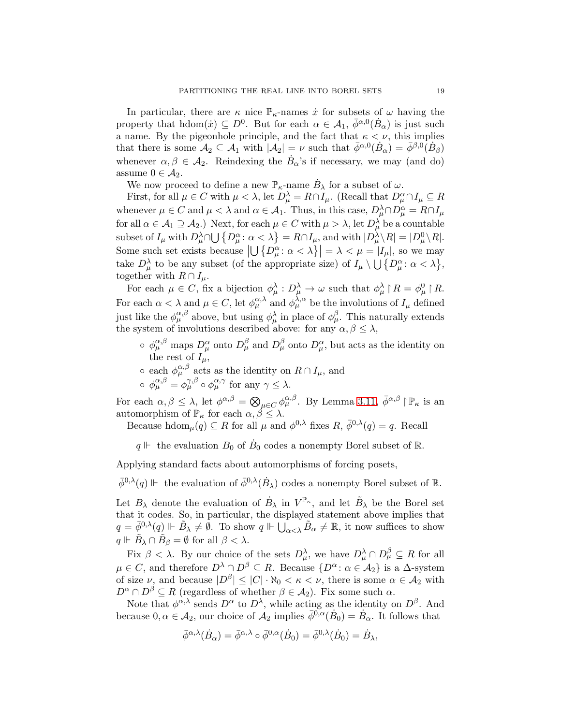In particular, there are  $\kappa$  nice  $\mathbb{P}_{\kappa}$ -names  $\dot{x}$  for subsets of  $\omega$  having the property that  $\text{hdom}(\dot{x}) \subseteq D^0$ . But for each  $\alpha \in \mathcal{A}_1$ ,  $\bar{\phi}^{\alpha,0}(\dot{B}_\alpha)$  is just such a name. By the pigeonhole principle, and the fact that  $\kappa < \nu$ , this implies that there is some  $\mathcal{A}_2 \subseteq \mathcal{A}_1$  with  $|\mathcal{A}_2| = \nu$  such that  $\bar{\phi}^{\alpha,0}(\dot{B}_\alpha) = \bar{\phi}^{\beta,0}(\dot{B}_\beta)$ whenever  $\alpha, \beta \in \mathcal{A}_2$ . Reindexing the  $\dot{B}_\alpha$ 's if necessary, we may (and do) assume  $0 \in \mathcal{A}_2$ .

We now proceed to define a new  $\mathbb{P}_{\kappa}$ -name  $\dot{B}_{\lambda}$  for a subset of  $\omega$ .

First, for all  $\mu \in C$  with  $\mu < \lambda$ , let  $D_{\mu}^{\lambda} = R \cap I_{\mu}$ . (Recall that  $D_{\mu}^{\alpha} \cap I_{\mu} \subseteq R$ whenever  $\mu \in C$  and  $\mu < \lambda$  and  $\alpha \in \mathcal{A}_1$ . Thus, in this case,  $D_{\mu}^{\lambda} \cap D_{\mu}^{\alpha} = R \cap I_{\mu}$ for all  $\alpha \in \mathcal{A}_1 \supseteq \mathcal{A}_2$ .) Next, for each  $\mu \in C$  with  $\mu > \lambda$ , let  $D_{\mu}^{\lambda}$  be a countable subset of  $I_\mu$  with  $D_\mu^\lambda \cap \bigcup \{D_\mu^\alpha : \alpha < \lambda\} = R \cap I_\mu$ , and with  $|D_\mu^\lambda \setminus R| = |D_\mu^0 \setminus R|$ . Some such set exists because  $\left|\bigcup \{D_{\mu}^{\alpha} : \alpha < \lambda\}\right| = \lambda < \mu = |I_{\mu}|$ , so we may take  $D_{\mu}^{\lambda}$  to be any subset (of the appropriate size) of  $I_{\mu} \setminus \bigcup \{D_{\mu}^{\alpha} : \alpha < \lambda\},\$ together with  $R \cap I_\mu$ .

For each  $\mu \in C$ , fix a bijection  $\phi_{\mu}^{\lambda}: D_{\mu}^{\lambda} \to \omega$  such that  $\phi_{\mu}^{\lambda} \upharpoonright R = \phi_{\mu}^{0} \upharpoonright R$ . For each  $\alpha < \lambda$  and  $\mu \in C$ , let  $\phi_{\mu}^{\alpha,\lambda}$  and  $\phi_{\mu}^{\lambda,\alpha}$  be the involutions of  $I_{\mu}$  defined just like the  $\phi_{\mu}^{\alpha,\beta}$  above, but using  $\phi_{\mu}^{\lambda}$  in place of  $\phi_{\mu}^{\beta}$ . This naturally extends the system of involutions described above: for any  $\alpha, \beta \leq \lambda$ ,

- $\circ \phi_{\mu}^{\alpha,\beta}$  maps  $D_{\mu}^{\alpha}$  onto  $D_{\mu}^{\beta}$  and  $D_{\mu}^{\beta}$  onto  $D_{\mu}^{\alpha}$ , but acts as the identity on the rest of  $I_{\mu}$ ,
- each  $\phi_{\mu}^{\alpha,\beta}$  acts as the identity on  $R \cap I_{\mu}$ , and
- $\circ \varphi_{\mu}^{\alpha,\beta} = \varphi_{\mu}^{\gamma,\beta} \circ \varphi_{\mu}^{\alpha,\gamma} \text{ for any } \gamma \leq \lambda.$

For each  $\alpha, \beta \leq \lambda$ , let  $\phi^{\alpha, \beta} = \bigotimes_{\mu \in C} \phi^{\alpha, \beta}_{\mu}$ . By Lemma [3.11,](#page-14-0)  $\bar{\phi}^{\alpha, \beta} \upharpoonright \mathbb{P}_{\kappa}$  is an automorphism of  $\mathbb{P}_{\kappa}$  for each  $\alpha, \beta \leq \lambda$ .

Because hdom $\mu(q) \subseteq R$  for all  $\mu$  and  $\phi^{0,\lambda}$  fixes  $R, \bar{\phi}^{0,\lambda}(q) = q$ . Recall

 $q \Vdash$  the evaluation  $B_0$  of  $\dot{B}_0$  codes a nonempty Borel subset of R.

Applying standard facts about automorphisms of forcing posets,

 $\bar{\phi}^{0,\lambda}(q) \Vdash$  the evaluation of  $\bar{\phi}^{0,\lambda}(\dot{B}_{\lambda})$  codes a nonempty Borel subset of R.

Let  $B_\lambda$  denote the evaluation of  $\dot{B}_\lambda$  in  $V^{\mathbb{P}_\kappa}$ , and let  $\tilde{B}_\lambda$  be the Borel set that it codes. So, in particular, the displayed statement above implies that  $q = \bar{\phi}^{0,\lambda}(q) \Vdash \tilde{B}_{\lambda} \neq \emptyset$ . To show  $q \Vdash \bigcup_{\alpha < \lambda} \tilde{B}_{\alpha} \neq \mathbb{R}$ , it now suffices to show  $q \Vdash \tilde{B}_{\lambda} \cap \tilde{B}_{\beta} = \emptyset$  for all  $\beta < \lambda$ .

Fix  $\beta < \lambda$ . By our choice of the sets  $D_{\mu}^{\lambda}$ , we have  $D_{\mu}^{\lambda} \cap D_{\mu}^{\beta} \subseteq R$  for all  $\mu \in C$ , and therefore  $D^{\lambda} \cap D^{\beta} \subseteq R$ . Because  $\{D^{\alpha} \colon \alpha \in A_2\}$  is a  $\Delta$ -system of size  $\nu$ , and because  $|D^{\beta}| \leq |C| \cdot \aleph_0 < \kappa < \nu$ , there is some  $\alpha \in \mathcal{A}_2$  with  $D^{\alpha} \cap D^{\beta} \subseteq R$  (regardless of whether  $\beta \in \mathcal{A}_2$ ). Fix some such  $\alpha$ .

Note that  $\phi^{\alpha,\lambda}$  sends  $D^{\alpha}$  to  $D^{\lambda}$ , while acting as the identity on  $D^{\beta}$ . And because  $0, \alpha \in \mathcal{A}_2$ , our choice of  $\mathcal{A}_2$  implies  $\bar{\phi}^{0,\alpha}(\dot{B}_0) = \dot{B}_\alpha$ . It follows that

$$
\bar{\phi}^{\alpha,\lambda}(\dot{B}_{\alpha}) = \bar{\phi}^{\alpha,\lambda} \circ \bar{\phi}^{0,\alpha}(\dot{B}_0) = \bar{\phi}^{0,\lambda}(\dot{B}_0) = \dot{B}_{\lambda},
$$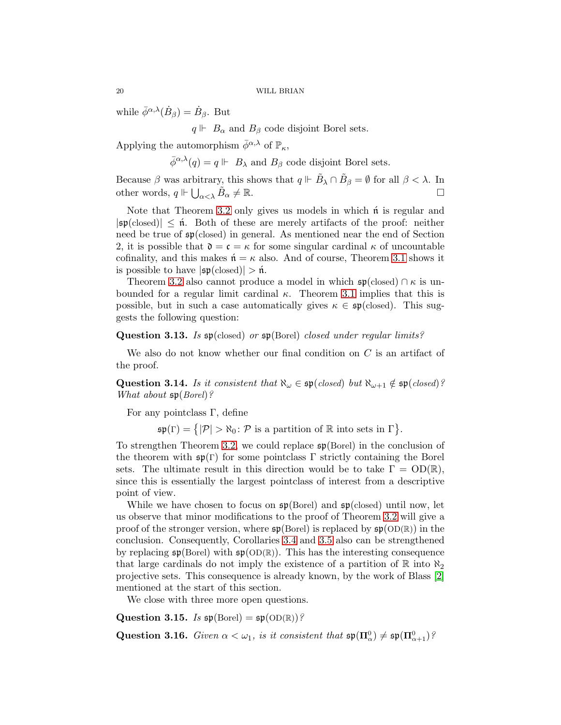while  $\bar{\phi}^{\alpha,\lambda}(\dot{B}_{\beta}) = \dot{B}_{\beta}$ . But

 $q \Vdash B_{\alpha}$  and  $B_{\beta}$  code disjoint Borel sets.

Applying the automorphism  $\bar{\phi}^{\alpha,\lambda}$  of  $\mathbb{P}_{\kappa}$ ,

 $\bar{\phi}^{\alpha,\lambda}(q) = q \Vdash B_{\lambda}$  and  $B_{\beta}$  code disjoint Borel sets.

Because  $\beta$  was arbitrary, this shows that  $q \Vdash \tilde{B}_{\lambda} \cap \tilde{B}_{\beta} = \emptyset$  for all  $\beta < \lambda$ . In other words,  $q \Vdash \bigcup_{\alpha < \lambda} \tilde{B}_{\alpha} \neq \mathbb{R}$ .

Note that Theorem [3.2](#page-8-1) only gives us models in which  $\hat{\mathfrak{n}}$  is regular and  $|\mathfrak{sp}(\text{closed})| \leq \hat{\mathfrak{n}}$ . Both of these are merely artifacts of the proof: neither need be true of sp(closed) in general. As mentioned near the end of Section 2, it is possible that  $\mathfrak{d} = \mathfrak{c} = \kappa$  for some singular cardinal  $\kappa$  of uncountable cofinality, and this makes  $\mathfrak{n} = \kappa$  also. And of course, Theorem [3.1](#page-6-0) shows it is possible to have  $|\mathfrak{sp}(\text{closed})| > \hat{\mathfrak{n}}$ .

Theorem [3.2](#page-8-1) also cannot produce a model in which  $\mathfrak{sp}(\text{closed}) \cap \kappa$  is unbounded for a regular limit cardinal  $\kappa$ . Theorem [3.1](#page-6-0) implies that this is possible, but in such a case automatically gives  $\kappa \in \mathfrak{sp}(\text{closed})$ . This suggests the following question:

Question 3.13. *Is* sp(closed) *or* sp(Borel) *closed under regular limits?*

We also do not know whether our final condition on  $C$  is an artifact of the proof.

Question 3.14. *Is it consistent that*  $\aleph_{\omega} \in \mathfrak{sp}(closed)$  *but*  $\aleph_{\omega+1} \notin \mathfrak{sp}(closed)$ *? What about* sp(*Borel*)*?*

For any pointclass Γ, define

 $\mathfrak{sp}(\Gamma) = \{ |\mathcal{P}| > \aleph_0 : \mathcal{P} \text{ is a partition of } \mathbb{R} \text{ into sets in } \Gamma \}.$ 

To strengthen Theorem [3.2,](#page-8-1) we could replace sp(Borel) in the conclusion of the theorem with  $\mathfrak{sp}(\Gamma)$  for some pointclass  $\Gamma$  strictly containing the Borel sets. The ultimate result in this direction would be to take  $\Gamma = OD(\mathbb{R})$ , since this is essentially the largest pointclass of interest from a descriptive point of view.

While we have chosen to focus on  $\mathfrak{sp}(\text{Borel})$  and  $\mathfrak{sp}(\text{closed})$  until now, let us observe that minor modifications to the proof of Theorem [3.2](#page-8-1) will give a proof of the stronger version, where  $\mathfrak{sp}(\text{Borel})$  is replaced by  $\mathfrak{sp}(\text{OD}(\mathbb{R}))$  in the conclusion. Consequently, Corollaries [3.4](#page-8-2) and [3.5](#page-8-3) also can be strengthened by replacing  $\mathfrak{sp}(\text{Borel})$  with  $\mathfrak{sp}(\text{OD}(\mathbb{R}))$ . This has the interesting consequence that large cardinals do not imply the existence of a partition of  $\mathbb R$  into  $\aleph_2$ projective sets. This consequence is already known, by the work of Blass [\[2\]](#page-20-3) mentioned at the start of this section.

We close with three more open questions.

Question 3.15. *Is*  $\mathfrak{sp}(\text{Borel}) = \mathfrak{sp}(\text{OD}(\mathbb{R}))$ ?

Question 3.16. *Given*  $\alpha < \omega_1$ , *is it consistent that*  $\mathfrak{sp}(\Pi_\alpha^0) \neq \mathfrak{sp}(\Pi_{\alpha+1}^0)^2$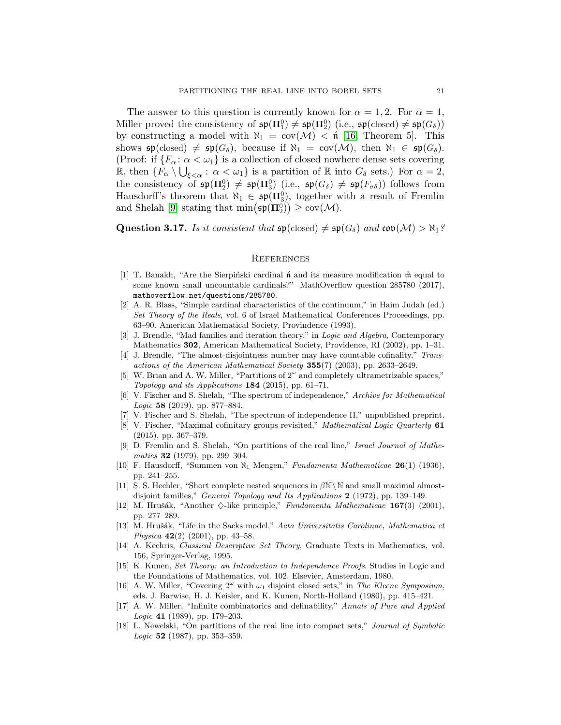The answer to this question is currently known for  $\alpha = 1, 2$ . For  $\alpha = 1$ , Miller proved the consistency of  $\mathfrak{sp}(\Pi_1^0) \neq \mathfrak{sp}(\Pi_2^0)$  (i.e.,  $\mathfrak{sp}(\text{closed}) \neq \mathfrak{sp}(G_\delta)$ ) by constructing a model with  $\aleph_1 = \text{cov}(\mathcal{M}) < \hat{\mathfrak{n}}$  [\[16,](#page-20-8) Theorem 5]. This shows  $\mathfrak{sp}(\text{closed}) \neq \mathfrak{sp}(G_{\delta})$ , because if  $\aleph_1 = \text{cov}(\mathcal{M})$ , then  $\aleph_1 \in \mathfrak{sp}(G_{\delta})$ . (Proof: if  $\{F_\alpha: \alpha < \omega_1\}$  is a collection of closed nowhere dense sets covering  $\mathbb{R}$ , then  $\{F_{\alpha} \setminus \bigcup_{\xi < \alpha} : \alpha < \omega_1\}$  is a partition of  $\mathbb{R}$  into  $G_{\delta}$  sets.) For  $\alpha = 2$ , the consistency of  $\mathfrak{sp}(\Pi_2^0) \neq \mathfrak{sp}(\Pi_3^0)$  (i.e.,  $\mathfrak{sp}(G_\delta) \neq \mathfrak{sp}(F_{\sigma\delta})$ ) follows from Hausdorff's theorem that  $\aleph_1 \in \mathfrak{sp}(\Pi_3^0)$ , together with a result of Fremlin and Shelah [\[9\]](#page-20-17) stating that  $\min(\mathfrak{sp}(\Pi_2^0)) \geq \text{cov}(\mathcal{M}).$ 

Question 3.17. *Is it consistent that*  $\mathfrak{sp}(\text{closed}) \neq \mathfrak{sp}(G_{\delta})$  *and*  $\mathfrak{cov}(\mathcal{M}) > \aleph_1?$ 

#### **REFERENCES**

- <span id="page-20-12"></span>[1] T. Banakh, "Are the Sierpinski cardinal  $\hat{\mathfrak{n}}$  and its measure modification  $\hat{\mathfrak{m}}$  equal to some known small uncountable cardinals?" MathOverflow question 285780 (2017), mathoverflow.net/questions/285780.
- <span id="page-20-3"></span>[2] A. R. Blass, "Simple cardinal characteristics of the continuum," in Haim Judah (ed.) *Set Theory of the Reals*, vol. 6 of Israel Mathematical Conferences Proceedings, pp. 63–90. American Mathematical Society, Provindence (1993).
- <span id="page-20-1"></span>[3] J. Brendle, "Mad families and iteration theory," in *Logic and Algebra*, Contemporary Mathematics 302, American Mathematical Society, Providence, RI (2002), pp. 1–31.
- <span id="page-20-13"></span>[4] J. Brendle, "The almost-disjointness number may have countable cofinality," *Transactions of the American Mathematical Society* 355(7) (2003), pp. 2633–2649.
- <span id="page-20-15"></span>[5] W. Brian and A. W. Miller, "Partitions of  $2^{\omega}$  and completely ultrametrizable spaces," *Topology and its Applications* 184 (2015), pp. 61–71.
- <span id="page-20-4"></span>[6] V. Fischer and S. Shelah, "The spectrum of independence," *Archive for Mathematical Logic* 58 (2019), pp. 877–884.
- <span id="page-20-6"></span><span id="page-20-5"></span>[7] V. Fischer and S. Shelah, "The spectrum of independence II," unpublished preprint.
- [8] V. Fischer, "Maximal cofinitary groups revisited," *Mathematical Logic Quarterly* 61 (2015), pp. 367–379.
- <span id="page-20-17"></span>[9] D. Fremlin and S. Shelah, "On partitions of the real line," *Israel Journal of Mathematics* 32 (1979), pp. 299–304.
- <span id="page-20-0"></span>[10] F. Hausdorff, "Summen von ℵ<sup>1</sup> Mengen," *Fundamenta Mathematicae* 26(1) (1936), pp. 241–255.
- <span id="page-20-2"></span>[11] S. S. Hechler, "Short complete nested sequences in  $\beta\mathbb{N}\setminus\mathbb{N}$  and small maximal almostdisjoint families," *General Topology and Its Applications* 2 (1972), pp. 139–149.
- <span id="page-20-10"></span>[12] M. Hrušák, "Another  $\Diamond$ -like principle," *Fundamenta Mathematicae* 167(3) (2001), pp. 277–289.
- <span id="page-20-11"></span>[13] M. Hrušák, "Life in the Sacks model," *Acta Universitatis Carolinae, Mathematica et Physica* 42(2) (2001), pp. 43–58.
- <span id="page-20-7"></span>[14] A. Kechris, *Classical Descriptive Set Theory*, Graduate Texts in Mathematics, vol. 156, Springer-Verlag, 1995.
- <span id="page-20-16"></span>[15] K. Kunen, *Set Theory: an Introduction to Independence Proofs*. Studies in Logic and the Foundations of Mathematics, vol. 102. Elsevier, Amsterdam, 1980.
- <span id="page-20-8"></span>[16] A. W. Miller, "Covering  $2^{\omega}$  with  $\omega_1$  disjoint closed sets," in *The Kleene Symposium*, eds. J. Barwise, H. J. Keisler, and K. Kunen, North-Holland (1980), pp. 415–421.
- <span id="page-20-14"></span>[17] A. W. Miller, "Infinite combinatorics and definability," *Annals of Pure and Applied Logic* 41 (1989), pp. 179–203.
- <span id="page-20-9"></span>[18] L. Newelski, "On partitions of the real line into compact sets," *Journal of Symbolic Logic* 52 (1987), pp. 353–359.